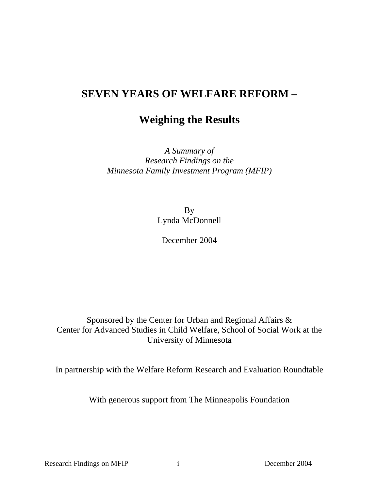# **SEVEN YEARS OF WELFARE REFORM –**

# **Weighing the Results**

*A Summary of Research Findings on the Minnesota Family Investment Program (MFIP)*

> By Lynda McDonnell

December 2004

Sponsored by the Center for Urban and Regional Affairs & Center for Advanced Studies in Child Welfare, School of Social Work at the University of Minnesota

In partnership with the Welfare Reform Research and Evaluation Roundtable

With generous support from The Minneapolis Foundation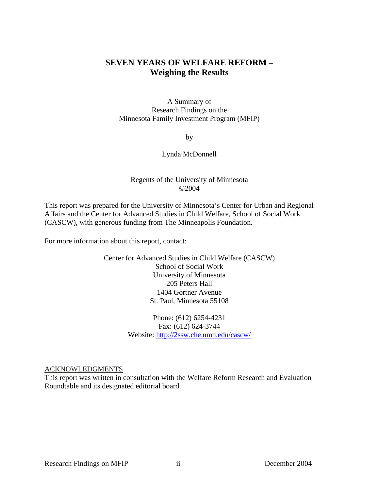# **SEVEN YEARS OF WELFARE REFORM – Weighing the Results**

A Summary of Research Findings on the Minnesota Family Investment Program (MFIP)

by

### Lynda McDonnell

### Regents of the University of Minnesota ©2004

This report was prepared for the University of Minnesota's Center for Urban and Regional Affairs and the Center for Advanced Studies in Child Welfare, School of Social Work (CASCW), with generous funding from The Minneapolis Foundation.

For more information about this report, contact:

Center for Advanced Studies in Child Welfare (CASCW) School of Social Work University of Minnesota 205 Peters Hall 1404 Gortner Avenue St. Paul, Minnesota 55108

> Phone: (612) 6254-4231 Fax: (612) 624-3744 Website: http://2ssw.che.umn.edu/cascw/

ACKNOWLEDGMENTS

This report was written in consultation with the Welfare Reform Research and Evaluation Roundtable and its designated editorial board.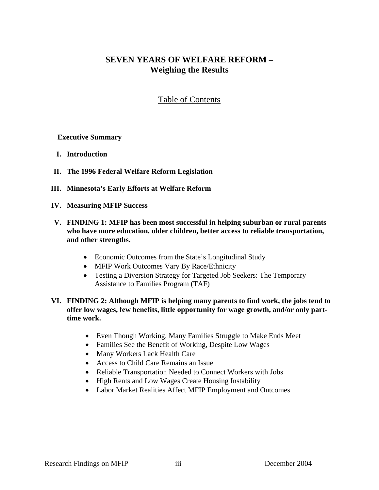# **SEVEN YEARS OF WELFARE REFORM – Weighing the Results**

# Table of Contents

## **Executive Summary**

- **I. Introduction**
- **II. The 1996 Federal Welfare Reform Legislation**
- **III. Minnesota's Early Efforts at Welfare Reform**
- **IV. Measuring MFIP Success**
- **V. FINDING 1: MFIP has been most successful in helping suburban or rural parents who have more education, older children, better access to reliable transportation, and other strengths.** 
	- Economic Outcomes from the State's Longitudinal Study
	- MFIP Work Outcomes Vary By Race/Ethnicity
	- Testing a Diversion Strategy for Targeted Job Seekers: The Temporary Assistance to Families Program (TAF)
- **VI. FINDING 2: Although MFIP is helping many parents to find work, the jobs tend to offer low wages, few benefits, little opportunity for wage growth, and/or only parttime work.** 
	- Even Though Working, Many Families Struggle to Make Ends Meet
	- Families See the Benefit of Working, Despite Low Wages
	- Many Workers Lack Health Care
	- Access to Child Care Remains an Issue
	- Reliable Transportation Needed to Connect Workers with Jobs
	- High Rents and Low Wages Create Housing Instability
	- Labor Market Realities Affect MFIP Employment and Outcomes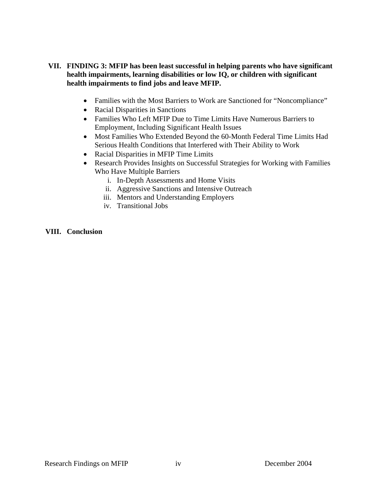# **VII. FINDING 3: MFIP has been least successful in helping parents who have significant health impairments, learning disabilities or low IQ, or children with significant health impairments to find jobs and leave MFIP.**

- Families with the Most Barriers to Work are Sanctioned for "Noncompliance"
- Racial Disparities in Sanctions
- Families Who Left MFIP Due to Time Limits Have Numerous Barriers to Employment, Including Significant Health Issues
- Most Families Who Extended Beyond the 60-Month Federal Time Limits Had Serious Health Conditions that Interfered with Their Ability to Work
- Racial Disparities in MFIP Time Limits
- Research Provides Insights on Successful Strategies for Working with Families Who Have Multiple Barriers
	- i. In-Depth Assessments and Home Visits
	- ii. Aggressive Sanctions and Intensive Outreach
	- iii. Mentors and Understanding Employers
	- iv. Transitional Jobs

## **VIII. Conclusion**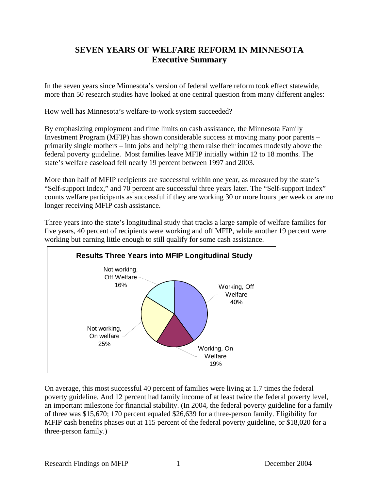# **SEVEN YEARS OF WELFARE REFORM IN MINNESOTA Executive Summary**

In the seven years since Minnesota's version of federal welfare reform took effect statewide, more than 50 research studies have looked at one central question from many different angles:

How well has Minnesota's welfare-to-work system succeeded?

By emphasizing employment and time limits on cash assistance, the Minnesota Family Investment Program (MFIP) has shown considerable success at moving many poor parents – primarily single mothers – into jobs and helping them raise their incomes modestly above the federal poverty guideline. Most families leave MFIP initially within 12 to 18 months. The state's welfare caseload fell nearly 19 percent between 1997 and 2003.

More than half of MFIP recipients are successful within one year, as measured by the state's "Self-support Index," and 70 percent are successful three years later. The "Self-support Index" counts welfare participants as successful if they are working 30 or more hours per week or are no longer receiving MFIP cash assistance.

Three years into the state's longitudinal study that tracks a large sample of welfare families for five years, 40 percent of recipients were working and off MFIP, while another 19 percent were working but earning little enough to still qualify for some cash assistance.



On average, this most successful 40 percent of families were living at 1.7 times the federal poverty guideline. And 12 percent had family income of at least twice the federal poverty level, an important milestone for financial stability. (In 2004, the federal poverty guideline for a family of three was \$15,670; 170 percent equaled \$26,639 for a three-person family. Eligibility for MFIP cash benefits phases out at 115 percent of the federal poverty guideline, or \$18,020 for a three-person family.)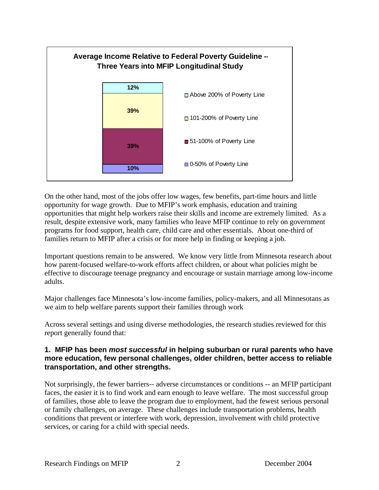

On the other hand, most of the jobs offer low wages, few benefits, part-time hours and little opportunity for wage growth. Due to MFIP's work emphasis, education and training opportunities that might help workers raise their skills and income are extremely limited. As a result, despite extensive work, many families who leave MFIP continue to rely on government programs for food support, health care, child care and other essentials. About one-third of families return to MFIP after a crisis or for more help in finding or keeping a job.

Important questions remain to be answered. We know very little from Minnesota research about how parent-focused welfare-to-work efforts affect children, or about what policies might be effective to discourage teenage pregnancy and encourage or sustain marriage among low-income adults.

Major challenges face Minnesota's low-income families, policy-makers, and all Minnesotans as we aim to help welfare parents support their families through work

Across several settings and using diverse methodologies, the research studies reviewed for this report generally found that:

# **1. MFIP has been** *most successful* **in helping suburban or rural parents who have more education, few personal challenges, older children, better access to reliable transportation, and other strengths.**

Not surprisingly, the fewer barriers-- adverse circumstances or conditions -- an MFIP participant faces, the easier it is to find work and earn enough to leave welfare. The most successful group of families, those able to leave the program due to employment, had the fewest serious personal or family challenges, on average. These challenges include transportation problems, health conditions that prevent or interfere with work, depression, involvement with child protective services, or caring for a child with special needs.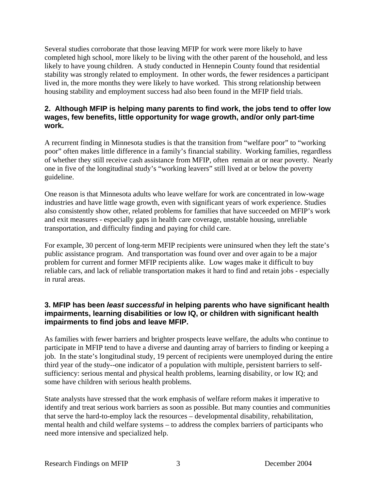Several studies corroborate that those leaving MFIP for work were more likely to have completed high school, more likely to be living with the other parent of the household, and less likely to have young children. A study conducted in Hennepin County found that residential stability was strongly related to employment. In other words, the fewer residences a participant lived in, the more months they were likely to have worked. This strong relationship between housing stability and employment success had also been found in the MFIP field trials.

# **2. Although MFIP is helping many parents to find work, the jobs tend to offer low wages, few benefits, little opportunity for wage growth, and/or only part-time work.**

A recurrent finding in Minnesota studies is that the transition from "welfare poor" to "working poor" often makes little difference in a family's financial stability. Working families, regardless of whether they still receive cash assistance from MFIP, often remain at or near poverty. Nearly one in five of the longitudinal study's "working leavers" still lived at or below the poverty guideline.

One reason is that Minnesota adults who leave welfare for work are concentrated in low-wage industries and have little wage growth, even with significant years of work experience. Studies also consistently show other, related problems for families that have succeeded on MFIP's work and exit measures - especially gaps in health care coverage, unstable housing, unreliable transportation, and difficulty finding and paying for child care.

For example, 30 percent of long-term MFIP recipients were uninsured when they left the state's public assistance program. And transportation was found over and over again to be a major problem for current and former MFIP recipients alike. Low wages make it difficult to buy reliable cars, and lack of reliable transportation makes it hard to find and retain jobs - especially in rural areas.

# **3. MFIP has been** *least successful* **in helping parents who have significant health impairments, learning disabilities or low IQ, or children with significant health impairments to find jobs and leave MFIP.**

As families with fewer barriers and brighter prospects leave welfare, the adults who continue to participate in MFIP tend to have a diverse and daunting array of barriers to finding or keeping a job. In the state's longitudinal study, 19 percent of recipients were unemployed during the entire third year of the study--one indicator of a population with multiple, persistent barriers to selfsufficiency: serious mental and physical health problems, learning disability, or low IQ; and some have children with serious health problems.

State analysts have stressed that the work emphasis of welfare reform makes it imperative to identify and treat serious work barriers as soon as possible. But many counties and communities that serve the hard-to-employ lack the resources – developmental disability, rehabilitation, mental health and child welfare systems – to address the complex barriers of participants who need more intensive and specialized help.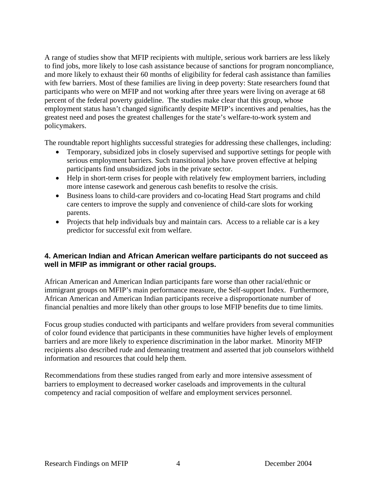A range of studies show that MFIP recipients with multiple, serious work barriers are less likely to find jobs, more likely to lose cash assistance because of sanctions for program noncompliance, and more likely to exhaust their 60 months of eligibility for federal cash assistance than families with few barriers. Most of these families are living in deep poverty: State researchers found that participants who were on MFIP and not working after three years were living on average at 68 percent of the federal poverty guideline. The studies make clear that this group, whose employment status hasn't changed significantly despite MFIP's incentives and penalties, has the greatest need and poses the greatest challenges for the state's welfare-to-work system and policymakers.

The roundtable report highlights successful strategies for addressing these challenges, including:

- Temporary, subsidized jobs in closely supervised and supportive settings for people with serious employment barriers. Such transitional jobs have proven effective at helping participants find unsubsidized jobs in the private sector.
- Help in short-term crises for people with relatively few employment barriers, including more intense casework and generous cash benefits to resolve the crisis.
- Business loans to child-care providers and co-locating Head Start programs and child care centers to improve the supply and convenience of child-care slots for working parents.
- Projects that help individuals buy and maintain cars. Access to a reliable car is a key predictor for successful exit from welfare.

# **4. American Indian and African American welfare participants do not succeed as well in MFIP as immigrant or other racial groups.**

African American and American Indian participants fare worse than other racial/ethnic or immigrant groups on MFIP's main performance measure, the Self-support Index. Furthermore, African American and American Indian participants receive a disproportionate number of financial penalties and more likely than other groups to lose MFIP benefits due to time limits.

Focus group studies conducted with participants and welfare providers from several communities of color found evidence that participants in these communities have higher levels of employment barriers and are more likely to experience discrimination in the labor market. Minority MFIP recipients also described rude and demeaning treatment and asserted that job counselors withheld information and resources that could help them.

Recommendations from these studies ranged from early and more intensive assessment of barriers to employment to decreased worker caseloads and improvements in the cultural competency and racial composition of welfare and employment services personnel.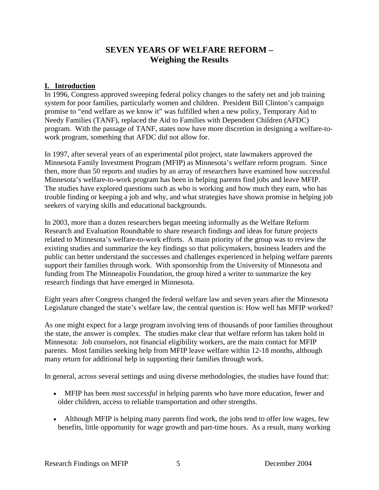# **SEVEN YEARS OF WELFARE REFORM – Weighing the Results**

# **I. Introduction**

In 1996, Congress approved sweeping federal policy changes to the safety net and job training system for poor families, particularly women and children. President Bill Clinton's campaign promise to "end welfare as we know it" was fulfilled when a new policy, Temporary Aid to Needy Families (TANF), replaced the Aid to Families with Dependent Children (AFDC) program. With the passage of TANF, states now have more discretion in designing a welfare-towork program, something that AFDC did not allow for.

In 1997, after several years of an experimental pilot project, state lawmakers approved the Minnesota Family Investment Program (MFIP) as Minnesota's welfare reform program. Since then, more than 50 reports and studies by an array of researchers have examined how successful Minnesota's welfare-to-work program has been in helping parents find jobs and leave MFIP. The studies have explored questions such as who is working and how much they earn, who has trouble finding or keeping a job and why, and what strategies have shown promise in helping job seekers of varying skills and educational backgrounds.

In 2003, more than a dozen researchers began meeting informally as the Welfare Reform Research and Evaluation Roundtable to share research findings and ideas for future projects related to Minnesota's welfare-to-work efforts. A main priority of the group was to review the existing studies and summarize the key findings so that policymakers, business leaders and the public can better understand the successes and challenges experienced in helping welfare parents support their families through work. With sponsorship from the University of Minnesota and funding from The Minneapolis Foundation, the group hired a writer to summarize the key research findings that have emerged in Minnesota.

Eight years after Congress changed the federal welfare law and seven years after the Minnesota Legislature changed the state's welfare law, the central question is: How well has MFIP worked?

As one might expect for a large program involving tens of thousands of poor families throughout the state, the answer is complex. The studies make clear that welfare reform has taken hold in Minnesota: Job counselors, not financial eligibility workers, are the main contact for MFIP parents. Most families seeking help from MFIP leave welfare within 12-18 months, although many return for additional help in supporting their families through work.

In general, across several settings and using diverse methodologies, the studies have found that:

- MFIP has been *most successful* in helping parents who have more education, fewer and older children, access to reliable transportation and other strengths.
- Although MFIP is helping many parents find work, the jobs tend to offer low wages, few benefits, little opportunity for wage growth and part-time hours. As a result, many working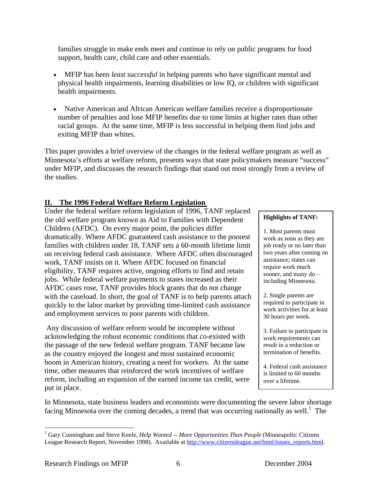families struggle to make ends meet and continue to rely on public programs for food support, health care, child care and other essentials.

- MFIP has been *least successful* in helping parents who have significant mental and physical health impairments, learning disabilities or low IQ, or children with significant health impairments.
- Native American and African American welfare families receive a disproportionate number of penalties and lose MFIP benefits due to time limits at higher rates than other racial groups. At the same time, MFIP is less successful in helping them find jobs and exiting MFIP than whites.

This paper provides a brief overview of the changes in the federal welfare program as well as Minnesota's efforts at welfare reform, presents ways that state policymakers measure "success" under MFIP, and discusses the research findings that stand out most strongly from a review of the studies.

# **II. The 1996 Federal Welfare Reform Legislation**

Under the federal welfare reform legislation of 1996, TANF replaced the old welfare program known as Aid to Families with Dependent Children (AFDC). On every major point, the policies differ dramatically. Where AFDC guaranteed cash assistance to the poorest families with children under 18, TANF sets a 60-month lifetime limit on receiving federal cash assistance. Where AFDC often discouraged work, TANF insists on it. Where AFDC focused on financial eligibility, TANF requires active, ongoing efforts to find and retain jobs. While federal welfare payments to states increased as their AFDC cases rose, TANF provides block grants that do not change with the caseload. In short, the goal of TANF is to help parents attach quickly to the labor market by providing time-limited cash assistance and employment services to poor parents with children.

 Any discussion of welfare reform would be incomplete without acknowledging the robust economic conditions that co-existed with the passage of the new federal welfare program. TANF became law as the country enjoyed the longest and most sustained economic boom in American history, creating a need for workers. At the same time, other measures that reinforced the work incentives of welfare reform, including an expansion of the earned income tax credit, were put in place.

### **Highlights of TANF:**

1. Most parents must work as soon as they are job ready or no later than two years after coming on assistance; states can require work much sooner, and many do – including Minnesota.

2. Single parents are required to participate in work activities for at least 30 hours per week.

3. Failure to participate in work requirements can result in a reduction or termination of benefits.

4. Federal cash assistance is limited to 60 months over a lifetime.

In Minnesota, state business leaders and economists were documenting the severe labor shortage facing Minnesota over the coming decades, a trend that was occurring nationally as well.<sup>1</sup> The

1

<sup>&</sup>lt;sup>1</sup> Gary Cunningham and Steve Keefe, *Help Wanted -- More Opportunities Than People* (Minneapolis: Citizens League Research Report, November 1998). Available at http://www.citizensleague.net/html/issues\_reports.html.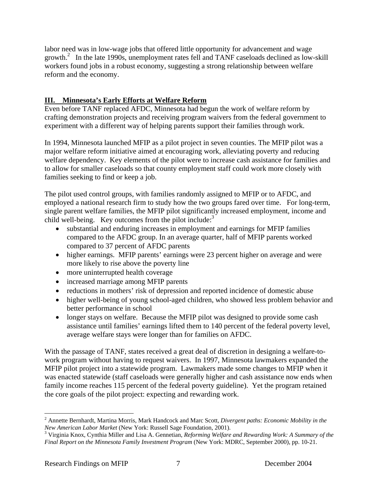labor need was in low-wage jobs that offered little opportunity for advancement and wage growth.<sup>2</sup> In the late 1990s, unemployment rates fell and TANF caseloads declined as low-skill workers found jobs in a robust economy, suggesting a strong relationship between welfare reform and the economy.

# **III. Minnesota's Early Efforts at Welfare Reform**

Even before TANF replaced AFDC, Minnesota had begun the work of welfare reform by crafting demonstration projects and receiving program waivers from the federal government to experiment with a different way of helping parents support their families through work.

In 1994, Minnesota launched MFIP as a pilot project in seven counties. The MFIP pilot was a major welfare reform initiative aimed at encouraging work, alleviating poverty and reducing welfare dependency. Key elements of the pilot were to increase cash assistance for families and to allow for smaller caseloads so that county employment staff could work more closely with families seeking to find or keep a job.

The pilot used control groups, with families randomly assigned to MFIP or to AFDC, and employed a national research firm to study how the two groups fared over time. For long-term, single parent welfare families, the MFIP pilot significantly increased employment, income and child well-being. Key outcomes from the pilot include:<sup>3</sup>

- substantial and enduring increases in employment and earnings for MFIP families compared to the AFDC group. In an average quarter, half of MFIP parents worked compared to 37 percent of AFDC parents
- higher earnings. MFIP parents' earnings were 23 percent higher on average and were more likely to rise above the poverty line
- more uninterrupted health coverage
- increased marriage among MFIP parents
- reductions in mothers' risk of depression and reported incidence of domestic abuse
- higher well-being of young school-aged children, who showed less problem behavior and better performance in school
- longer stays on welfare. Because the MFIP pilot was designed to provide some cash assistance until families' earnings lifted them to 140 percent of the federal poverty level, average welfare stays were longer than for families on AFDC.

With the passage of TANF, states received a great deal of discretion in designing a welfare-towork program without having to request waivers. In 1997, Minnesota lawmakers expanded the MFIP pilot project into a statewide program. Lawmakers made some changes to MFIP when it was enacted statewide (staff caseloads were generally higher and cash assistance now ends when family income reaches 115 percent of the federal poverty guideline). Yet the program retained the core goals of the pilot project: expecting and rewarding work.

<sup>2</sup> Annette Bernhardt, Martina Morris, Mark Handcock and Marc Scott, *Divergent paths: Economic Mobility in the New American Labor Market* (New York: Russell Sage Foundation, 2001).

Virginia Knox, Cynthia Miller and Lisa A. Gennetian, *Reforming Welfare and Rewarding Work: A Summary of the Final Report on the Minnesota Family Investment Program* (New York: MDRC, September 2000), pp. 10-21.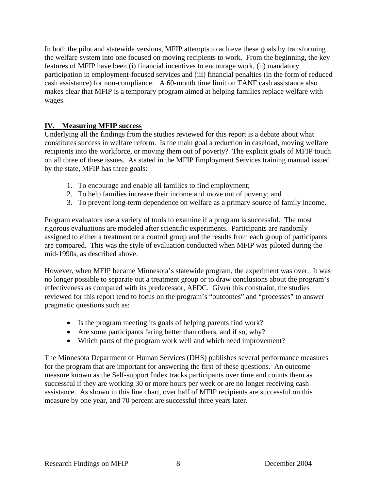In both the pilot and statewide versions, MFIP attempts to achieve these goals by transforming the welfare system into one focused on moving recipients to work. From the beginning, the key features of MFIP have been (i) financial incentives to encourage work, (ii) mandatory participation in employment-focused services and (iii) financial penalties (in the form of reduced cash assistance) for non-compliance. A 60-month time limit on TANF cash assistance also makes clear that MFIP is a temporary program aimed at helping families replace welfare with wages.

# **IV. Measuring MFIP success**

Underlying all the findings from the studies reviewed for this report is a debate about what constitutes success in welfare reform. Is the main goal a reduction in caseload, moving welfare recipients into the workforce, or moving them out of poverty? The explicit goals of MFIP touch on all three of these issues. As stated in the MFIP Employment Services training manual issued by the state, MFIP has three goals:

- 1. To encourage and enable all families to find employment;
- 2. To help families increase their income and move out of poverty; and
- 3. To prevent long-term dependence on welfare as a primary source of family income.

Program evaluators use a variety of tools to examine if a program is successful. The most rigorous evaluations are modeled after scientific experiments. Participants are randomly assigned to either a treatment or a control group and the results from each group of participants are compared. This was the style of evaluation conducted when MFIP was piloted during the mid-1990s, as described above.

However, when MFIP became Minnesota's statewide program, the experiment was over. It was no longer possible to separate out a treatment group or to draw conclusions about the program's effectiveness as compared with its predecessor, AFDC. Given this constraint, the studies reviewed for this report tend to focus on the program's "outcomes" and "processes" to answer pragmatic questions such as:

- Is the program meeting its goals of helping parents find work?
- Are some participants faring better than others, and if so, why?
- Which parts of the program work well and which need improvement?

The Minnesota Department of Human Services (DHS) publishes several performance measures for the program that are important for answering the first of these questions. An outcome measure known as the Self-support Index tracks participants over time and counts them as successful if they are working 30 or more hours per week or are no longer receiving cash assistance. As shown in this line chart, over half of MFIP recipients are successful on this measure by one year, and 70 percent are successful three years later.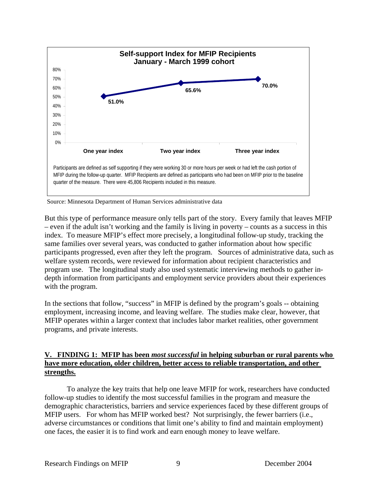

Source: Minnesota Department of Human Services administrative data

But this type of performance measure only tells part of the story. Every family that leaves MFIP – even if the adult isn't working and the family is living in poverty – counts as a success in this index. To measure MFIP's effect more precisely, a longitudinal follow-up study, tracking the same families over several years, was conducted to gather information about how specific participants progressed, even after they left the program. Sources of administrative data, such as welfare system records, were reviewed for information about recipient characteristics and program use. The longitudinal study also used systematic interviewing methods to gather indepth information from participants and employment service providers about their experiences with the program.

In the sections that follow, "success" in MFIP is defined by the program's goals -- obtaining employment, increasing income, and leaving welfare. The studies make clear, however, that MFIP operates within a larger context that includes labor market realities, other government programs, and private interests.

## **V. FINDING 1: MFIP has been** *most successful* **in helping suburban or rural parents who have more education, older children, better access to reliable transportation, and other strengths.**

 To analyze the key traits that help one leave MFIP for work, researchers have conducted follow-up studies to identify the most successful families in the program and measure the demographic characteristics, barriers and service experiences faced by these different groups of MFIP users. For whom has MFIP worked best? Not surprisingly, the fewer barriers (i.e., adverse circumstances or conditions that limit one's ability to find and maintain employment) one faces, the easier it is to find work and earn enough money to leave welfare.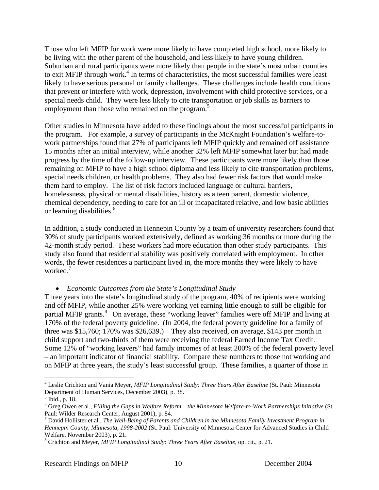Those who left MFIP for work were more likely to have completed high school, more likely to be living with the other parent of the household, and less likely to have young children. Suburban and rural participants were more likely than people in the state's most urban counties to exit MFIP through work.<sup>4</sup> In terms of characteristics, the most successful families were least likely to have serious personal or family challenges. These challenges include health conditions that prevent or interfere with work, depression, involvement with child protective services, or a special needs child. They were less likely to cite transportation or job skills as barriers to employment than those who remained on the program.<sup>5</sup>

Other studies in Minnesota have added to these findings about the most successful participants in the program. For example, a survey of participants in the McKnight Foundation's welfare-towork partnerships found that 27% of participants left MFIP quickly and remained off assistance 15 months after an initial interview, while another 32% left MFIP somewhat later but had made progress by the time of the follow-up interview. These participants were more likely than those remaining on MFIP to have a high school diploma and less likely to cite transportation problems, special needs children, or health problems. They also had fewer risk factors that would make them hard to employ. The list of risk factors included language or cultural barriers, homelessness, physical or mental disabilities, history as a teen parent, domestic violence, chemical dependency, needing to care for an ill or incapacitated relative, and low basic abilities or learning disabilities.<sup>6</sup>

In addition, a study conducted in Hennepin County by a team of university researchers found that 30% of study participants worked extensively, defined as working 36 months or more during the 42-month study period. These workers had more education than other study participants. This study also found that residential stability was positively correlated with employment. In other words, the fewer residences a participant lived in, the more months they were likely to have worked.<sup>7</sup>

• *Economic Outcomes from the State's Longitudinal Study*

Three years into the state's longitudinal study of the program, 40% of recipients were working and off MFIP, while another 25% were working yet earning little enough to still be eligible for partial MFIP grants.<sup>8</sup> On average, these "working leaver" families were off MFIP and living at 170% of the federal poverty guideline. (In 2004, the federal poverty guideline for a family of three was \$15,760; 170% was \$26,639.) They also received, on average, \$143 per month in child support and two-thirds of them were receiving the federal Earned Income Tax Credit. Some 12% of "working leavers" had family incomes of at least 200% of the federal poverty level – an important indicator of financial stability. Compare these numbers to those not working and on MFIP at three years, the study's least successful group. These families, a quarter of those in

 $\overline{a}$ 4 Leslie Crichton and Vania Meyer, *MFIP Longitudinal Study: Three Years After Baseline* (St. Paul: Minnesota Department of Human Services, December 2003), p. 38.

 $<sup>5</sup>$  Ibid., p. 18.</sup>

 $^6$  Greg Owen et al., *Filling the Gaps in Welfare Reform – the Minnesota Welfare-to-Work Partnerships Initiative* (St. Paul: Wilder Research Center, August 2001), p. 84.

<sup>7</sup> David Hollister et al., *The Well-Being of Parents and Children in the Minnesota Family Investment Program in Hennepin County, Minnesota, 1998-2002* (St. Paul: University of Minnesota Center for Advanced Studies in Child Welfare, November 2003), p. 21. 8

Crichton and Meyer, *MFIP Longitudinal Study: Three Years After Baseline*, op. cit., p. 21.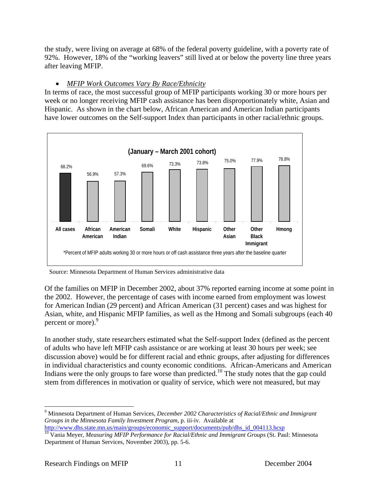the study, were living on average at 68% of the federal poverty guideline, with a poverty rate of 92%. However, 18% of the "working leavers" still lived at or below the poverty line three years after leaving MFIP.

# • *MFIP Work Outcomes Vary By Race/Ethnicity*

In terms of race, the most successful group of MFIP participants working 30 or more hours per week or no longer receiving MFIP cash assistance has been disproportionately white, Asian and Hispanic. As shown in the chart below, African American and American Indian participants have lower outcomes on the Self-support Index than participants in other racial/ethnic groups.



Source: Minnesota Department of Human Services administrative data

Of the families on MFIP in December 2002, about 37% reported earning income at some point in the 2002. However, the percentage of cases with income earned from employment was lowest for American Indian (29 percent) and African American (31 percent) cases and was highest for Asian, white, and Hispanic MFIP families, as well as the Hmong and Somali subgroups (each 40 percent or more).<sup>9</sup>

In another study, state researchers estimated what the Self-support Index (defined as the percent of adults who have left MFIP cash assistance or are working at least 30 hours per week; see discussion above) would be for different racial and ethnic groups, after adjusting for differences in individual characteristics and county economic conditions. African-Americans and American Indians were the only groups to fare worse than predicted.<sup>10</sup> The study notes that the gap could stem from differences in motivation or quality of service, which were not measured, but may

 $\overline{a}$ 9 Minnesota Department of Human Services, *December 2002 Characteristics of Racial/Ethnic and Immigrant Groups in the Minnesota Family Investment Program*, p. iii-iv. Available at

http://www.dhs.state.mn.us/main/groups/economic\_support/documents/pub/dhs\_id\_004113.hcsp 10 Vania Meyer, *Measuring MFIP Performance for Racial/Ethnic and Immigrant Groups* (St. Paul: Minnesota Department of Human Services, November 2003), pp. 5-6.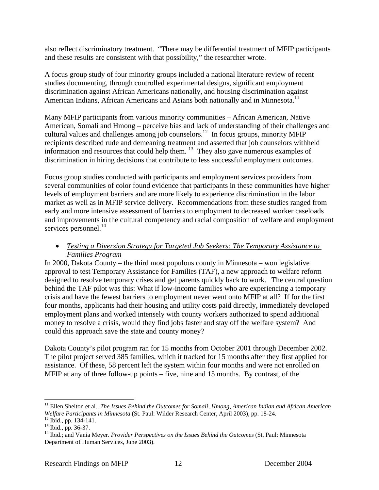also reflect discriminatory treatment. "There may be differential treatment of MFIP participants and these results are consistent with that possibility," the researcher wrote.

A focus group study of four minority groups included a national literature review of recent studies documenting, through controlled experimental designs, significant employment discrimination against African Americans nationally, and housing discrimination against American Indians, African Americans and Asians both nationally and in Minnesota.<sup>11</sup>

Many MFIP participants from various minority communities – African American, Native American, Somali and Hmong – perceive bias and lack of understanding of their challenges and cultural values and challenges among job counselors.12 In focus groups, minority MFIP recipients described rude and demeaning treatment and asserted that job counselors withheld information and resources that could help them. 13 They also gave numerous examples of discrimination in hiring decisions that contribute to less successful employment outcomes.

Focus group studies conducted with participants and employment services providers from several communities of color found evidence that participants in these communities have higher levels of employment barriers and are more likely to experience discrimination in the labor market as well as in MFIP service delivery. Recommendations from these studies ranged from early and more intensive assessment of barriers to employment to decreased worker caseloads and improvements in the cultural competency and racial composition of welfare and employment services personnel.<sup>14</sup>

# • *Testing a Diversion Strategy for Targeted Job Seekers: The Temporary Assistance to Families Program*

In 2000, Dakota County – the third most populous county in Minnesota – won legislative approval to test Temporary Assistance for Families (TAF), a new approach to welfare reform designed to resolve temporary crises and get parents quickly back to work. The central question behind the TAF pilot was this: What if low-income families who are experiencing a temporary crisis and have the fewest barriers to employment never went onto MFIP at all? If for the first four months, applicants had their housing and utility costs paid directly, immediately developed employment plans and worked intensely with county workers authorized to spend additional money to resolve a crisis, would they find jobs faster and stay off the welfare system? And could this approach save the state and county money?

Dakota County's pilot program ran for 15 months from October 2001 through December 2002. The pilot project served 385 families, which it tracked for 15 months after they first applied for assistance. Of these, 58 percent left the system within four months and were not enrolled on MFIP at any of three follow-up points – five, nine and 15 months. By contrast, of the

<sup>&</sup>lt;sup>11</sup> Ellen Shelton et al., *The Issues Behind the Outcomes for Somali, Hmong, American Indian and African American Welfare Participants in Minnesota* (St. Paul: Wilder Research Center, April 2003), pp. 18-24. 12 Ibid., pp. 134-141.

<sup>13</sup> Ibid., pp. 36-37.

<sup>&</sup>lt;sup>14</sup> Ibid.; and Vania Meyer. *Provider Perspectives on the Issues Behind the Outcomes* (St. Paul: Minnesota Department of Human Services, June 2003).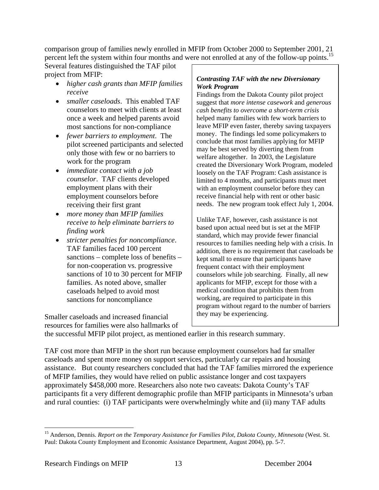comparison group of families newly enrolled in MFIP from October 2000 to September 2001, 21 percent left the system within four months and were not enrolled at any of the follow-up points.<sup>15</sup>

Several features distinguished the TAF pilot project from MFIP:

- *higher cash grants than MFIP families receive*
- *smaller caseloads*. This enabled TAF counselors to meet with clients at least once a week and helped parents avoid most sanctions for non-compliance
- *fewer barriers to employment*. The pilot screened participants and selected only those with few or no barriers to work for the program
- *immediate contact with a job counselor*. TAF clients developed employment plans with their employment counselors before receiving their first grant
- *more money than MFIP families receive to help eliminate barriers to finding work*
- *stricter penalties for noncompliance*. TAF families faced 100 percent sanctions – complete loss of benefits – for non-cooperation vs. progressive sanctions of 10 to 30 percent for MFIP families. As noted above, smaller caseloads helped to avoid most sanctions for noncompliance

Smaller caseloads and increased financial resources for families were also hallmarks of

### *Contrasting TAF with the new Diversionary Work Program*

Findings from the Dakota County pilot project suggest that *more intense casework* and *generous cash benefits to overcome a short-term crisis*  helped many families with few work barriers to leave MFIP even faster, thereby saving taxpayers money. The findings led some policymakers to conclude that most families applying for MFIP may be best served by diverting them from welfare altogether. In 2003, the Legislature created the Diversionary Work Program, modeled loosely on the TAF Program: Cash assistance is limited to 4 months, and participants must meet with an employment counselor before they can receive financial help with rent or other basic needs. The new program took effect July 1, 2004.

Unlike TAF, however, cash assistance is not based upon actual need but is set at the MFIP standard, which may provide fewer financial resources to families needing help with a crisis. In addition, there is no requirement that caseloads be kept small to ensure that participants have frequent contact with their employment counselors while job searching. Finally, all new applicants for MFIP, except for those with a medical condition that prohibits them from working, are required to participate in this program without regard to the number of barriers they may be experiencing.

the successful MFIP pilot project, as mentioned earlier in this research summary.

TAF cost more than MFIP in the short run because employment counselors had far smaller caseloads and spent more money on support services, particularly car repairs and housing assistance. But county researchers concluded that had the TAF families mirrored the experience of MFIP families, they would have relied on public assistance longer and cost taxpayers approximately \$458,000 more. Researchers also note two caveats: Dakota County's TAF participants fit a very different demographic profile than MFIP participants in Minnesota's urban and rural counties: (i) TAF participants were overwhelmingly white and (ii) many TAF adults

<sup>&</sup>lt;sup>15</sup> Anderson, Dennis. *Report on the Temporary Assistance for Families Pilot, Dakota County, Minnesota* (West. St. Paul: Dakota County Employment and Economic Assistance Department, August 2004), pp. 5-7.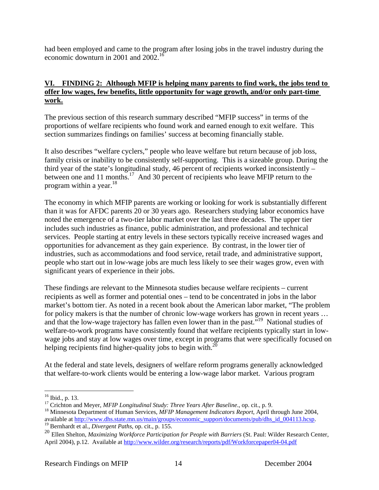had been employed and came to the program after losing jobs in the travel industry during the economic downturn in 2001 and 2002.16

# **VI. FINDING 2: Although MFIP is helping many parents to find work, the jobs tend to offer low wages, few benefits, little opportunity for wage growth, and/or only part-time work.**

The previous section of this research summary described "MFIP success" in terms of the proportions of welfare recipients who found work and earned enough to exit welfare. This section summarizes findings on families' success at becoming financially stable.

It also describes "welfare cyclers," people who leave welfare but return because of job loss, family crisis or inability to be consistently self-supporting. This is a sizeable group. During the third year of the state's longitudinal study, 46 percent of recipients worked inconsistently – between one and 11 months.<sup>17</sup> And 30 percent of recipients who leave MFIP return to the program within a year. $^{18}$ 

The economy in which MFIP parents are working or looking for work is substantially different than it was for AFDC parents 20 or 30 years ago. Researchers studying labor economics have noted the emergence of a two-tier labor market over the last three decades. The upper tier includes such industries as finance, public administration, and professional and technical services. People starting at entry levels in these sectors typically receive increased wages and opportunities for advancement as they gain experience. By contrast, in the lower tier of industries, such as accommodations and food service, retail trade, and administrative support, people who start out in low-wage jobs are much less likely to see their wages grow, even with significant years of experience in their jobs.

These findings are relevant to the Minnesota studies because welfare recipients – current recipients as well as former and potential ones – tend to be concentrated in jobs in the labor market's bottom tier. As noted in a recent book about the American labor market, "The problem for policy makers is that the number of chronic low-wage workers has grown in recent years … and that the low-wage trajectory has fallen even lower than in the past."19 National studies of welfare-to-work programs have consistently found that welfare recipients typically start in lowwage jobs and stay at low wages over time, except in programs that were specifically focused on helping recipients find higher-quality jobs to begin with.<sup>20</sup>

At the federal and state levels, designers of welfare reform programs generally acknowledged that welfare-to-work clients would be entering a low-wage labor market. Various program

 $\overline{a}$  $16$  Ibid., p. 13.

<sup>17</sup> Crichton and Meyer, *MFIP Longitudinal Study: Three Years After Baseline*., op. cit., p. 9.<br><sup>18</sup> Minnesota Department of Human Services, *MFIP Management Indicators Report*, April through June 2004,

available at <u>http://www.dhs.state.mn.us/main/groups/economic\_support/documents/pub/dhs\_id\_004113.hcsp</u>. <sup>19</sup> Bernhardt et al., *Divergent Paths*, op. cit., p. 155.

<sup>&</sup>lt;sup>20</sup> Ellen Shelton, *Maximizing Workforce Participation for People with Barriers* (St. Paul: Wilder Research Center, April 2004), p.12. Available at http://www.wilder.org/research/reports/pdf/Workforcepaper04-04.pdf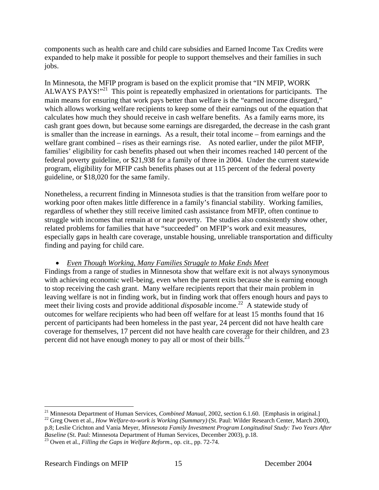components such as health care and child care subsidies and Earned Income Tax Credits were expanded to help make it possible for people to support themselves and their families in such jobs.

In Minnesota, the MFIP program is based on the explicit promise that "IN MFIP, WORK ALWAYS PAYS!"<sup>21</sup> This point is repeatedly emphasized in orientations for participants. The main means for ensuring that work pays better than welfare is the "earned income disregard," which allows working welfare recipients to keep some of their earnings out of the equation that calculates how much they should receive in cash welfare benefits. As a family earns more, its cash grant goes down, but because some earnings are disregarded, the decrease in the cash grant is smaller than the increase in earnings. As a result, their total income – from earnings and the welfare grant combined – rises as their earnings rise. As noted earlier, under the pilot MFIP, families' eligibility for cash benefits phased out when their incomes reached 140 percent of the federal poverty guideline, or \$21,938 for a family of three in 2004. Under the current statewide program, eligibility for MFIP cash benefits phases out at 115 percent of the federal poverty guideline, or \$18,020 for the same family.

Nonetheless, a recurrent finding in Minnesota studies is that the transition from welfare poor to working poor often makes little difference in a family's financial stability. Working families, regardless of whether they still receive limited cash assistance from MFIP, often continue to struggle with incomes that remain at or near poverty. The studies also consistently show other, related problems for families that have "succeeded" on MFIP's work and exit measures, especially gaps in health care coverage, unstable housing, unreliable transportation and difficulty finding and paying for child care.

# • *Even Though Working, Many Families Struggle to Make Ends Meet*

Findings from a range of studies in Minnesota show that welfare exit is not always synonymous with achieving economic well-being, even when the parent exits because she is earning enough to stop receiving the cash grant. Many welfare recipients report that their main problem in leaving welfare is not in finding work, but in finding work that offers enough hours and pays to meet their living costs and provide additional *disposable* income.<sup>22</sup> A statewide study of outcomes for welfare recipients who had been off welfare for at least 15 months found that 16 percent of participants had been homeless in the past year, 24 percent did not have health care coverage for themselves, 17 percent did not have health care coverage for their children, and 23 percent did not have enough money to pay all or most of their bills.<sup>23</sup>

1

<sup>&</sup>lt;sup>21</sup> Minnesota Department of Human Services, *Combined Manual*, 2002, section 6.1.60. [Emphasis in original.]<br><sup>22</sup> Greg Owen et al., *How Welfare-to-work is Working (Summary)* (St. Paul: Wilder Research Center, March 2000

p.8; Leslie Crichton and Vania Meyer, *Minnesota Family Investment Program Longitudinal Study: Two Years After* 

*Baseline* (St. Paul: Minnesota Department of Human Services*,* December 2003), p.18. 23 Owen et al., *Filling the Gaps in Welfare Reform*., op. cit., pp. 72-74.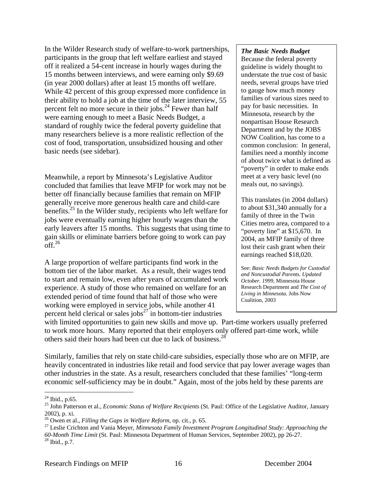In the Wilder Research study of welfare-to-work partnerships, participants in the group that left welfare earliest and stayed off it realized a 54-cent increase in hourly wages during the 15 months between interviews, and were earning only \$9.69 (in year 2000 dollars) after at least 15 months off welfare. While 42 percent of this group expressed more confidence in their ability to hold a job at the time of the later interview, 55 percent felt no more secure in their jobs.<sup>24</sup> Fewer than half were earning enough to meet a Basic Needs Budget, a standard of roughly twice the federal poverty guideline that many researchers believe is a more realistic reflection of the cost of food, transportation, unsubsidized housing and other basic needs (see sidebar).

Meanwhile, a report by Minnesota's Legislative Auditor concluded that families that leave MFIP for work may not be better off financially because families that remain on MFIP generally receive more generous health care and child-care benefits.<sup>25</sup> In the Wilder study, recipients who left welfare for jobs were eventually earning higher hourly wages than the early leavers after 15 months. This suggests that using time to gain skills or eliminate barriers before going to work can pay  $off.<sup>26</sup>$ 

A large proportion of welfare participants find work in the bottom tier of the labor market. As a result, their wages tend to start and remain low, even after years of accumulated work experience. A study of those who remained on welfare for an extended period of time found that half of those who were working were employed in service jobs, while another 41 percent held clerical or sales jobs $27$  in bottom-tier industries

### *The Basic Needs Budget*

Because the federal poverty guideline is widely thought to understate the true cost of basic needs, several groups have tried to gauge how much money families of various sizes need to pay for basic necessities. In Minnesota, research by the nonpartisan House Research Department and by the JOBS NOW Coalition, has come to a common conclusion: In general, families need a monthly income of about twice what is defined as "poverty" in order to make ends meet at a very basic level (no meals out, no savings).

This translates (in 2004 dollars) to about \$31,340 annually for a family of three in the Twin Cities metro area, compared to a "poverty line" at \$15,670. In 2004, an MFIP family of three lost their cash grant when their earnings reached \$18,020.

See: *Basic Needs Budgets for Custodial and Noncustodial Parents. Updated October. 1999,* Minnesota House Research Department and *The Cost of Living in Minnesota*. Jobs Now Coalition, 2003

with limited opportunities to gain new skills and move up. Part-time workers usually preferred to work more hours. Many reported that their employers only offered part-time work, while others said their hours had been cut due to lack of business.<sup>28</sup>

Similarly, families that rely on state child-care subsidies, especially those who are on MFIP, are heavily concentrated in industries like retail and food service that pay lower average wages than other industries in the state. As a result, researchers concluded that these families' "long-term economic self-sufficiency may be in doubt." Again, most of the jobs held by these parents are

<sup>&</sup>lt;u>.</u>  $^{24}$  Ibid., p.65.

<sup>25</sup> John Patterson et al., *Economic Status of Welfare Recipients* (St. Paul: Office of the Legislative Auditor, January 2002), p. xi.<br> $^{26}$  Owen et al., *Filling the Gaps in Welfare Reform*, op. cit., p. 65.

<sup>&</sup>lt;sup>27</sup> Leslie Crichton and Vania Meyer, *Minnesota Family Investment Program Longitudinal Study: Approaching the 60-Month Time Limit* (St. Paul: Minnesota Department of Human Services, September 2002), pp 26-27. 28 Ibid., p.7.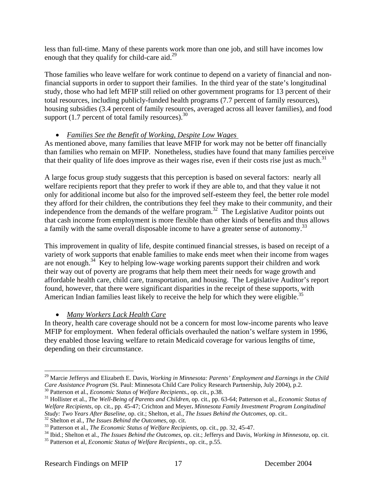less than full-time. Many of these parents work more than one job, and still have incomes low enough that they qualify for child-care aid. $^{29}$ 

Those families who leave welfare for work continue to depend on a variety of financial and nonfinancial supports in order to support their families. In the third year of the state's longitudinal study, those who had left MFIP still relied on other government programs for 13 percent of their total resources, including publicly-funded health programs (7.7 percent of family resources), housing subsidies (3.4 percent of family resources, averaged across all leaver families), and food support  $(1.7$  percent of total family resources).<sup>30</sup>

# • *Families See the Benefit of Working, Despite Low Wages*

As mentioned above, many families that leave MFIP for work may not be better off financially than families who remain on MFIP. Nonetheless, studies have found that many families perceive that their quality of life does improve as their wages rise, even if their costs rise just as much.<sup>31</sup>

A large focus group study suggests that this perception is based on several factors: nearly all welfare recipients report that they prefer to work if they are able to, and that they value it not only for additional income but also for the improved self-esteem they feel, the better role model they afford for their children, the contributions they feel they make to their community, and their independence from the demands of the welfare program.<sup>32</sup> The Legislative Auditor points out that cash income from employment is more flexible than other kinds of benefits and thus allows a family with the same overall disposable income to have a greater sense of autonomy.<sup>33</sup>

This improvement in quality of life, despite continued financial stresses, is based on receipt of a variety of work supports that enable families to make ends meet when their income from wages are not enough.34 Key to helping low-wage working parents support their children and work their way out of poverty are programs that help them meet their needs for wage growth and affordable health care, child care, transportation, and housing. The Legislative Auditor's report found, however, that there were significant disparities in the receipt of these supports, with American Indian families least likely to receive the help for which they were eligible.<sup>35</sup>

# • *Many Workers Lack Health Care*

In theory, health care coverage should not be a concern for most low-income parents who leave MFIP for employment. When federal officials overhauled the nation's welfare system in 1996, they enabled those leaving welfare to retain Medicaid coverage for various lengths of time, depending on their circumstance.

<sup>&</sup>lt;sup>29</sup> Marcie Jefferys and Elizabeth E. Davis, *Working in Minnesota: Parents' Employment and Earnings in the Child Care Assistance Program (St. Paul: Minnesota Child Care Policy Research Partnership, July 2004), p.2.* 

<sup>&</sup>lt;sup>30</sup> Patterson et al., *Economic Status of Welfare Recipients.*, op. cit., p.38.<br><sup>31</sup> Hollister et al., *The Well-Being of Parents and Children*, op. cit., pp. 63-64; Patterson et al., *Economic Status of Welfare Recipients*, op. cit., pp. 45-47; Crichton and Meyer**.** *Minnesota Family Investment Program Longitudinal*  Study: Two Years After Baseline, op. cit.; Shelton, et al., *The Issues Behind the Outcomes*, op. cit..<br><sup>32</sup> Shelton et al., *The Issues Behind the Outcomes*, op. cit.<br><sup>33</sup> Patterson et al., *The Economic Status of Welfare*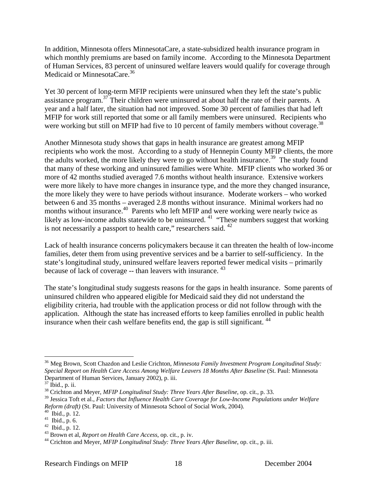In addition, Minnesota offers MinnesotaCare, a state-subsidized health insurance program in which monthly premiums are based on family income. According to the Minnesota Department of Human Services, 83 percent of uninsured welfare leavers would qualify for coverage through Medicaid or MinnesotaCare.<sup>36</sup>

Yet 30 percent of long-term MFIP recipients were uninsured when they left the state's public assistance program.<sup>37</sup> Their children were uninsured at about half the rate of their parents. A year and a half later, the situation had not improved. Some 30 percent of families that had left MFIP for work still reported that some or all family members were uninsured. Recipients who were working but still on MFIP had five to 10 percent of family members without coverage.<sup>38</sup>

Another Minnesota study shows that gaps in health insurance are greatest among MFIP recipients who work the most. According to a study of Hennepin County MFIP clients, the more the adults worked, the more likely they were to go without health insurance.<sup>39</sup> The study found that many of these working and uninsured families were White. MFIP clients who worked 36 or more of 42 months studied averaged 7.6 months without health insurance. Extensive workers were more likely to have more changes in insurance type, and the more they changed insurance, the more likely they were to have periods without insurance. Moderate workers – who worked between 6 and 35 months – averaged 2.8 months without insurance. Minimal workers had no months without insurance. $40$  Parents who left MFIP and were working were nearly twice as likely as low-income adults statewide to be uninsured.<sup>41</sup> "These numbers suggest that working is not necessarily a passport to health care," researchers said. <sup>42</sup>

Lack of health insurance concerns policymakers because it can threaten the health of low-income families, deter them from using preventive services and be a barrier to self-sufficiency. In the state's longitudinal study, uninsured welfare leavers reported fewer medical visits – primarily because of lack of coverage -- than leavers with insurance. <sup>43</sup>

The state's longitudinal study suggests reasons for the gaps in health insurance. Some parents of uninsured children who appeared eligible for Medicaid said they did not understand the eligibility criteria, had trouble with the application process or did not follow through with the application. Although the state has increased efforts to keep families enrolled in public health insurance when their cash welfare benefits end, the gap is still significant.  $44$ 

<sup>36</sup> Meg Brown, Scott Chazdon and Leslie Crichton, *Minnesota Family Investment Program Longitudinal Study: Special Report on Health Care Access Among Welfare Leavers 18 Months After Baseline* (St. Paul: Minnesota Department of Human Services, January 2002), p. iii. 37 Ibid., p. ii.

<sup>38</sup> Crichton and Meyer, *MFIP Longitudinal Study: Three Years After Baseline*, op. cit., p. 33.

<sup>39</sup> Jessica Toft et al., *Factors that Influence Health Care Coverage for Low-Income Populations under Welfare Reform (draft)* (St. Paul: University of Minnesota School of Social Work, 2004). 40 Ibid., p. 12.

 $41$  Ibid., p. 6.

<sup>&</sup>lt;sup>42</sup> Ibid., p. 12.<br><sup>43</sup> Brown et al, *Report on Health Care Access*, op. cit., p. iv.

<sup>&</sup>lt;sup>44</sup> Crichton and Meyer, *MFIP Longitudinal Study: Three Years After Baseline*, op. cit., p. iii.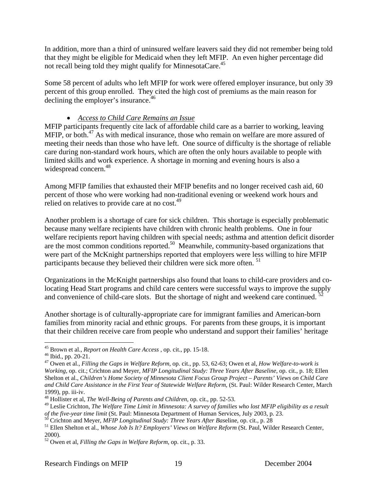In addition, more than a third of uninsured welfare leavers said they did not remember being told that they might be eligible for Medicaid when they left MFIP. An even higher percentage did not recall being told they might qualify for MinnesotaCare.45

Some 58 percent of adults who left MFIP for work were offered employer insurance, but only 39 percent of this group enrolled. They cited the high cost of premiums as the main reason for declining the employer's insurance.<sup>46</sup>

# • *Access to Child Care Remains an Issue*

MFIP participants frequently cite lack of affordable child care as a barrier to working, leaving MFIP, or both.<sup>47</sup> As with medical insurance, those who remain on welfare are more assured of meeting their needs than those who have left. One source of difficulty is the shortage of reliable care during non-standard work hours, which are often the only hours available to people with limited skills and work experience. A shortage in morning and evening hours is also a widespread concern.<sup>48</sup>

Among MFIP families that exhausted their MFIP benefits and no longer received cash aid, 60 percent of those who were working had non-traditional evening or weekend work hours and relied on relatives to provide care at no cost.<sup>49</sup>

Another problem is a shortage of care for sick children. This shortage is especially problematic because many welfare recipients have children with chronic health problems. One in four welfare recipients report having children with special needs; asthma and attention deficit disorder are the most common conditions reported.<sup>50</sup> Meanwhile, community-based organizations that were part of the McKnight partnerships reported that employers were less willing to hire MFIP participants because they believed their children were sick more often.<sup>51</sup>

Organizations in the McKnight partnerships also found that loans to child-care providers and colocating Head Start programs and child care centers were successful ways to improve the supply and convenience of child-care slots. But the shortage of night and weekend care continued.

Another shortage is of culturally-appropriate care for immigrant families and American-born families from minority racial and ethnic groups. For parents from these groups, it is important that their children receive care from people who understand and support their families' heritage

<sup>1</sup> 45 Brown et al., *Report on Health Care Access* , op. cit., pp. 15-18. 46 Ibid., pp. 20-21.

<sup>47</sup> Owen et al., *Filling the Gaps in Welfare Reform*, op. cit., pp. 53, 62-63; Owen et al, *How Welfare-to-work is Working,* op. cit.; Crichton and Meyer, *MFIP Longitudinal Study: Three Years After Baseline*, op. cit., p. 18; Ellen Shelton et al., *Children's Home Society of Minnesota Client Focus Group Project – Parents' Views on Child Care and Child Care Assistance in the First Year of Statewide Welfare Reform*, (St. Paul: Wilder Research Center, March 1999), pp. iii-iv.

<sup>48</sup> Hollister et al, *The Well-Being of Parents and Children*, op. cit., pp. 52-53.

<sup>49</sup> Leslie Crichton, *The Welfare Time Limit in Minnesota: A survey of families who lost MFIP eligibility as a result*  of the five-year time limit (St. Paul: Minnesota Department of Human Services, July 2003, p. 23.<br><sup>50</sup> Crichton and Meyer, *MFIP Longitudinal Study: Three Years After Baseline*, op. cit., p. 28<br><sup>51</sup> Ellen Shelton et al., *W* 

<sup>2000).</sup> 

<sup>52</sup> Owen et al, *Filling the Gaps in Welfare Reform*, op. cit., p. 33.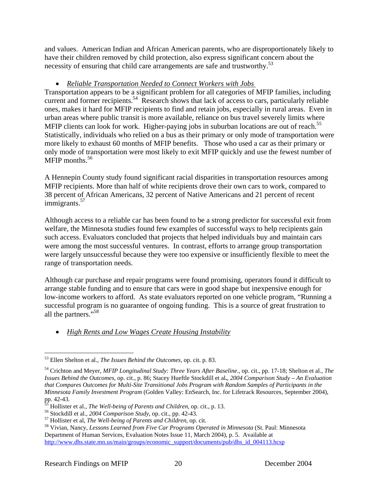and values. American Indian and African American parents, who are disproportionately likely to have their children removed by child protection, also express significant concern about the necessity of ensuring that child care arrangements are safe and trustworthy.<sup>53</sup>

# • *Reliable Transportation Needed to Connect Workers with Jobs*

Transportation appears to be a significant problem for all categories of MFIP families, including current and former recipients.<sup>54</sup> Research shows that lack of access to cars, particularly reliable ones, makes it hard for MFIP recipients to find and retain jobs, especially in rural areas. Even in urban areas where public transit is more available, reliance on bus travel severely limits where MFIP clients can look for work. Higher-paying jobs in suburban locations are out of reach.<sup>55</sup> Statistically, individuals who relied on a bus as their primary or only mode of transportation were more likely to exhaust 60 months of MFIP benefits. Those who used a car as their primary or only mode of transportation were most likely to exit MFIP quickly and use the fewest number of MFIP months. $56$ 

A Hennepin County study found significant racial disparities in transportation resources among MFIP recipients. More than half of white recipients drove their own cars to work, compared to 38 percent of African Americans, 32 percent of Native Americans and 21 percent of recent immigrants.<sup>57</sup>

Although access to a reliable car has been found to be a strong predictor for successful exit from welfare, the Minnesota studies found few examples of successful ways to help recipients gain such access. Evaluators concluded that projects that helped individuals buy and maintain cars were among the most successful ventures. In contrast, efforts to arrange group transportation were largely unsuccessful because they were too expensive or insufficiently flexible to meet the range of transportation needs.

Although car purchase and repair programs were found promising, operators found it difficult to arrange stable funding and to ensure that cars were in good shape but inexpensive enough for low-income workers to afford. As state evaluators reported on one vehicle program, "Running a successful program is no guarantee of ongoing funding. This is a source of great frustration to all the partners."58

• *High Rents and Low Wages Create Housing Instability*

1

<sup>53</sup> Ellen Shelton et al., *The Issues Behind the Outcomes*, op. cit. p. 83.

<sup>54</sup> Crichton and Meyer, *MFIP Longitudinal Study: Three Years After Baseline*., op. cit., pp. 17-18; Shelton et al., *The Issues Behind the Outcomes*, op. cit., p. 86; Stacey Hueftle Stockdill et al**.**, *2004 Comparison Study – An Evaluation that Compares Outcomes for Multi-Site Transitional Jobs Program with Random Samples of Participants in the Minnesota Family Investment Program* (Golden Valley: EnSearch, Inc. for Lifetrack Resources, September 2004), pp. 42-43.<br><sup>55</sup> Hollister et al., *The Well-being of Parents and Children*, op. cit., p. 13.

<sup>&</sup>lt;sup>56</sup> Stockdill et al., 2004 Comparison Study, op. cit., pp. 42-43.<br><sup>57</sup> Hollister et al, *The Well-being of Parents and Children*, op. cit.<br><sup>58</sup> Vivian, Nancy, *Lessons Learned from Five Car Programs Operated in Minnesota* Department of Human Services, Evaluation Notes Issue 11, March 2004), p. 5. Available at http://www.dhs.state.mn.us/main/groups/economic\_support/documents/pub/dhs\_id\_004113.hcsp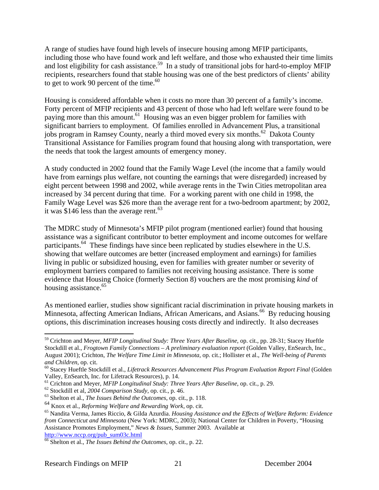A range of studies have found high levels of insecure housing among MFIP participants, including those who have found work and left welfare, and those who exhausted their time limits and lost eligibility for cash assistance.<sup>59</sup> In a study of transitional jobs for hard-to-employ MFIP recipients, researchers found that stable housing was one of the best predictors of clients' ability to get to work 90 percent of the time. $60$ 

Housing is considered affordable when it costs no more than 30 percent of a family's income. Forty percent of MFIP recipients and 43 percent of those who had left welfare were found to be paying more than this amount.<sup>61</sup> Housing was an even bigger problem for families with significant barriers to employment. Of families enrolled in Advancement Plus, a transitional jobs program in Ramsey County, nearly a third moved every six months.<sup>62</sup> Dakota County Transitional Assistance for Families program found that housing along with transportation, were the needs that took the largest amounts of emergency money.

A study conducted in 2002 found that the Family Wage Level (the income that a family would have from earnings plus welfare, not counting the earnings that were disregarded) increased by eight percent between 1998 and 2002, while average rents in the Twin Cities metropolitan area increased by 34 percent during that time. For a working parent with one child in 1998, the Family Wage Level was \$26 more than the average rent for a two-bedroom apartment; by 2002, it was \$146 less than the average rent.<sup>63</sup>

The MDRC study of Minnesota's MFIP pilot program (mentioned earlier) found that housing assistance was a significant contributor to better employment and income outcomes for welfare participants.64 These findings have since been replicated by studies elsewhere in the U.S. showing that welfare outcomes are better (increased employment and earnings) for families living in public or subsidized housing, even for families with greater number or severity of employment barriers compared to families not receiving housing assistance. There is some evidence that Housing Choice (formerly Section 8) vouchers are the most promising *kind* of housing assistance.<sup>65</sup>

As mentioned earlier, studies show significant racial discrimination in private housing markets in Minnesota, affecting American Indians, African Americans, and Asians.<sup>66</sup> By reducing housing options, this discrimination increases housing costs directly and indirectly. It also decreases

<sup>59</sup> Crichton and Meyer*, MFIP Longitudinal Study: Three Years After Baseline*, op. cit., pp. 28-31; Stacey Hueftle Stockdill et al., *Frogtown Family Connections – A preliminary evaluation report* (Golden Valley, EnSearch, Inc., August 2001); Crichton, *The Welfare Time Limit in Minnesota,* op. cit.; Hollister et al., *The Well-being of Parents* 

and Children, op. cit.<br><sup>60</sup> Stacey Hueftle Stockdill et al., *Lifetrack Resources Advancement Plus Program Evaluation Report Final* (Golden

Valley, EnSearch, Inc. for Lifetrack Resources), p. 14.<br>
<sup>61</sup> Crichton and Meyer, *MFIP Longitudinal Study: Three Years After Baseline*, op. cit., p. 29.<br>
<sup>62</sup> Stockdill et al., *2004 Comparison Study*, op. cit., p. 46.<br>

<sup>64</sup> Knox et al., *Reforming Welfare and Rewarding Work*, op. cit.

<sup>65</sup> Nandita Verma, James Riccio, & Gilda Azurdia. *Housing Assistance and the Effects of Welfare Reform: Evidence from Connecticut and Minnesota* (New York: MDRC, 2003); National Center for Children in Poverty, "Housing Assistance Promotes Employment," *News & Issues,* Summer 2003. Available at http://www.nccp.org/pub\_sum03c.html

<sup>66</sup> Shelton et al., *The Issues Behind the Outcomes*, op. cit., p. 22.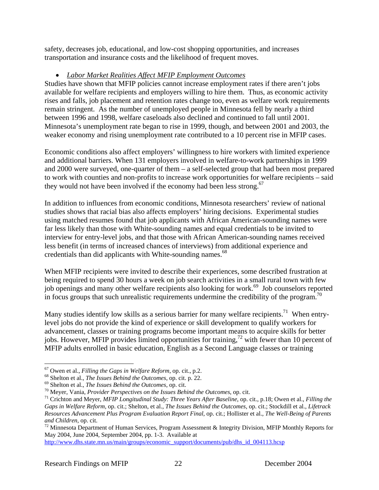safety, decreases job, educational, and low-cost shopping opportunities, and increases transportation and insurance costs and the likelihood of frequent moves.

# • *Labor Market Realities Affect MFIP Employment Outcomes*

Studies have shown that MFIP policies cannot increase employment rates if there aren't jobs available for welfare recipients and employers willing to hire them. Thus, as economic activity rises and falls, job placement and retention rates change too, even as welfare work requirements remain stringent. As the number of unemployed people in Minnesota fell by nearly a third between 1996 and 1998, welfare caseloads also declined and continued to fall until 2001. Minnesota's unemployment rate began to rise in 1999, though, and between 2001 and 2003, the weaker economy and rising unemployment rate contributed to a 10 percent rise in MFIP cases.

Economic conditions also affect employers' willingness to hire workers with limited experience and additional barriers. When 131 employers involved in welfare-to-work partnerships in 1999 and 2000 were surveyed, one-quarter of them – a self-selected group that had been most prepared to work with counties and non-profits to increase work opportunities for welfare recipients – said they would not have been involved if the economy had been less strong.<sup>67</sup>

In addition to influences from economic conditions, Minnesota researchers' review of national studies shows that racial bias also affects employers' hiring decisions. Experimental studies using matched resumes found that job applicants with African American-sounding names were far less likely than those with White-sounding names and equal credentials to be invited to interview for entry-level jobs, and that those with African American-sounding names received less benefit (in terms of increased chances of interviews) from additional experience and credentials than did applicants with White-sounding names.<sup>68</sup>

When MFIP recipients were invited to describe their experiences, some described frustration at being required to spend 30 hours a week on job search activities in a small rural town with few job openings and many other welfare recipients also looking for work.<sup>69</sup> Job counselors reported in focus groups that such unrealistic requirements undermine the credibility of the program.<sup>70</sup>

Many studies identify low skills as a serious barrier for many welfare recipients.<sup>71</sup> When entrylevel jobs do not provide the kind of experience or skill development to qualify workers for advancement, classes or training programs become important means to acquire skills for better jobs. However, MFIP provides limited opportunities for training,<sup>72</sup> with fewer than 10 percent of MFIP adults enrolled in basic education, English as a Second Language classes or training

http://www.dhs.state.mn.us/main/groups/economic\_support/documents/pub/dhs\_id\_004113.hcsp

 $\overline{a}$ 

<sup>&</sup>lt;sup>67</sup> Owen et al., *Filling the Gaps in Welfare Reform*, op. cit., p.2.<br><sup>68</sup> Shelton et al., *The Issues Behind the Outcomes*, op. cit. p. 22.<br><sup>69</sup> Shelton et al., *The Issues Behind the Outcomes*, op. cit.<br><sup>70</sup> Meyer, Van *Gaps in Welfare Reform*, op. cit.; Shelton, et al., *The Issues Behind the Outcomes*, op. cit.; Stockdill et al., *Lifetrack Resources Advancement Plus Program Evaluation Report Final*, op. cit.; Hollister et al., *The Well-Being of Parents and Children*, op. cit.<br><sup>72</sup> Minnesota Department of Human Services, Program Assessment & Integrity Division, MFIP Monthly Reports for

May 2004, June 2004, September 2004, pp. 1-3. Available at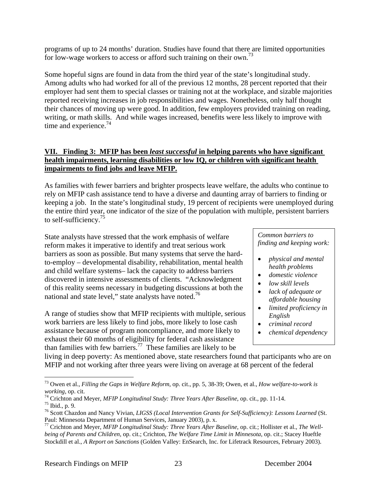programs of up to 24 months' duration. Studies have found that there are limited opportunities for low-wage workers to access or afford such training on their own.<sup>73</sup>

Some hopeful signs are found in data from the third year of the state's longitudinal study. Among adults who had worked for all of the previous 12 months, 28 percent reported that their employer had sent them to special classes or training not at the workplace, and sizable majorities reported receiving increases in job responsibilities and wages. Nonetheless, only half thought their chances of moving up were good. In addition, few employers provided training on reading, writing, or math skills. And while wages increased, benefits were less likely to improve with time and experience.<sup>74</sup>

# **VII. Finding 3: MFIP has been** *least successful* **in helping parents who have significant health impairments, learning disabilities or low IQ, or children with significant health impairments to find jobs and leave MFIP.**

As families with fewer barriers and brighter prospects leave welfare, the adults who continue to rely on MFIP cash assistance tend to have a diverse and daunting array of barriers to finding or keeping a job. In the state's longitudinal study, 19 percent of recipients were unemployed during the entire third year, one indicator of the size of the population with multiple, persistent barriers to self-sufficiency.<sup>75</sup>

State analysts have stressed that the work emphasis of welfare reform makes it imperative to identify and treat serious work barriers as soon as possible. But many systems that serve the hardto-employ – developmental disability, rehabilitation, mental health and child welfare systems– lack the capacity to address barriers discovered in intensive assessments of clients. "Acknowledgment of this reality seems necessary in budgeting discussions at both the national and state level," state analysts have noted.<sup>76</sup>

A range of studies show that MFIP recipients with multiple, serious work barriers are less likely to find jobs, more likely to lose cash assistance because of program noncompliance, and more likely to exhaust their 60 months of eligibility for federal cash assistance than families with few barriers.<sup>77</sup> These families are likely to be

*Common barriers to finding and keeping work:* 

- *physical and mental health problems*
- *domestic violence*
- *low skill levels*
- *lack of adequate or affordable housing*
- *limited proficiency in English*
- *criminal record*
- *chemical dependency*

living in deep poverty: As mentioned above, state researchers found that participants who are on MFIP and not working after three years were living on average at 68 percent of the federal

<sup>1</sup> 73 Owen et al., *Filling the Gaps in Welfare Reform*, op. cit., pp. 5, 38-39; Owen, et al., *How welfare-to-work is* 

*working*, op. cit.<br><sup>74</sup> Crichton and Meyer, *MFIP Longitudinal Study: Three Years After Baseline*, op. cit., pp. 11-14.<br><sup>75</sup> Ibid.. p. 9.

<sup>76</sup> Scott Chazdon and Nancy Vivian, *LIGSS (Local Intervention Grants for Self-Sufficiency): Lessons Learned* (St. Paul: Minnesota Department of Human Services, January 2003), p. x.

<sup>77</sup> Crichton and Meyer, *MFIP Longitudinal Study: Three Years After Baseline*, op. cit*.*; Hollister et al., *The Wellbeing of Parents and Children*, op. cit.; Crichton, *The Welfare Time Limit in Minnesota*, op. cit.; Stacey Hueftle Stockdill et al., *A Report on Sanctions* (Golden Valley: EnSearch, Inc. for Lifetrack Resources, February 2003).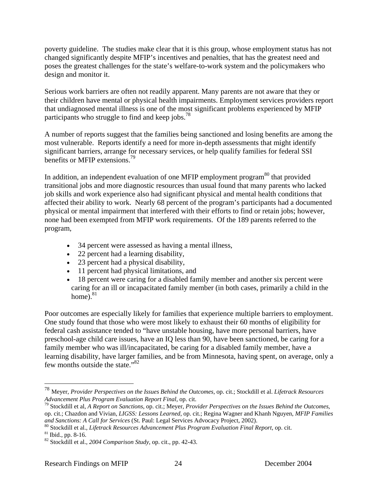poverty guideline. The studies make clear that it is this group, whose employment status has not changed significantly despite MFIP's incentives and penalties, that has the greatest need and poses the greatest challenges for the state's welfare-to-work system and the policymakers who design and monitor it.

Serious work barriers are often not readily apparent. Many parents are not aware that they or their children have mental or physical health impairments. Employment services providers report that undiagnosed mental illness is one of the most significant problems experienced by MFIP participants who struggle to find and keep jobs.<sup>78</sup>

A number of reports suggest that the families being sanctioned and losing benefits are among the most vulnerable. Reports identify a need for more in-depth assessments that might identify significant barriers, arrange for necessary services, or help qualify families for federal SSI benefits or MFIP extensions.<sup>79</sup>

In addition, an independent evaluation of one MFIP employment program<sup>80</sup> that provided transitional jobs and more diagnostic resources than usual found that many parents who lacked job skills and work experience also had significant physical and mental health conditions that affected their ability to work. Nearly 68 percent of the program's participants had a documented physical or mental impairment that interfered with their efforts to find or retain jobs; however, none had been exempted from MFIP work requirements. Of the 189 parents referred to the program,

- 34 percent were assessed as having a mental illness,
- 22 percent had a learning disability,
- 23 percent had a physical disability,
- 11 percent had physical limitations, and
- 18 percent were caring for a disabled family member and another six percent were caring for an ill or incapacitated family member (in both cases, primarily a child in the home). $81$

Poor outcomes are especially likely for families that experience multiple barriers to employment. One study found that those who were most likely to exhaust their 60 months of eligibility for federal cash assistance tended to "have unstable housing, have more personal barriers, have preschool-age child care issues, have an IQ less than 90, have been sanctioned, be caring for a family member who was ill/incapacitated, be caring for a disabled family member, have a learning disability, have larger families, and be from Minnesota, having spent, on average, only a few months outside the state."<sup>82</sup>

<sup>78</sup> Meyer, *Provider Perspectives on the Issues Behind the Outcomes*, op. cit.; Stockdill et al. *Lifetrack Resources* 

<sup>&</sup>lt;sup>79</sup> Stockdill et al, *A Report on Sanctions*, op. cit.; Meyer, *Provider Perspectives on the Issues Behind the Outcomes*, op. cit.; Chazdon and Vivian, *LIGSS: Lessons Learned*, op. cit.; Regina Wagner and Khanh Nguyen, *MFIP Families* 

and Sanctions: A Call for Services (St. Paul: Legal Services Advocacy Project, 2002).<br><sup>80</sup> Stockdill et al., *Lifetrack Resources Advancement Plus Program Evaluation Final Report*, op. cit.<br><sup>81</sup> Ibid., pp. 8-16.<br><sup>82</sup> Stock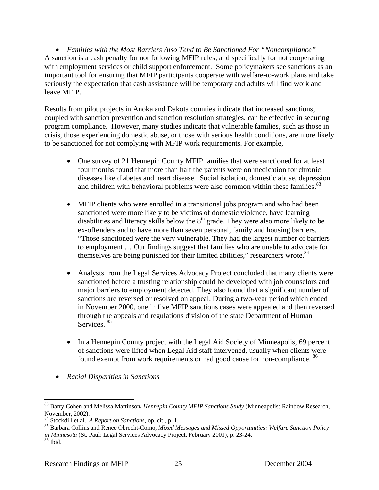• *Families with the Most Barriers Also Tend to Be Sanctioned For "Noncompliance"* A sanction is a cash penalty for not following MFIP rules, and specifically for not cooperating with employment services or child support enforcement. Some policymakers see sanctions as an important tool for ensuring that MFIP participants cooperate with welfare-to-work plans and take seriously the expectation that cash assistance will be temporary and adults will find work and leave MFIP.

Results from pilot projects in Anoka and Dakota counties indicate that increased sanctions, coupled with sanction prevention and sanction resolution strategies, can be effective in securing program compliance. However, many studies indicate that vulnerable families, such as those in crisis, those experiencing domestic abuse, or those with serious health conditions, are more likely to be sanctioned for not complying with MFIP work requirements. For example,

- One survey of 21 Hennepin County MFIP families that were sanctioned for at least four months found that more than half the parents were on medication for chronic diseases like diabetes and heart disease. Social isolation, domestic abuse, depression and children with behavioral problems were also common within these families.<sup>83</sup>
- MFIP clients who were enrolled in a transitional jobs program and who had been sanctioned were more likely to be victims of domestic violence, have learning disabilities and literacy skills below the  $8<sup>th</sup>$  grade. They were also more likely to be ex-offenders and to have more than seven personal, family and housing barriers. "Those sanctioned were the very vulnerable. They had the largest number of barriers to employment … Our findings suggest that families who are unable to advocate for themselves are being punished for their limited abilities," researchers wrote. $84$
- Analysts from the Legal Services Advocacy Project concluded that many clients were sanctioned before a trusting relationship could be developed with job counselors and major barriers to employment detected. They also found that a significant number of sanctions are reversed or resolved on appeal. During a two-year period which ended in November 2000, one in five MFIP sanctions cases were appealed and then reversed through the appeals and regulations division of the state Department of Human Services. 85
- In a Hennepin County project with the Legal Aid Society of Minneapolis, 69 percent of sanctions were lifted when Legal Aid staff intervened, usually when clients were found exempt from work requirements or had good cause for non-compliance. <sup>86</sup>
- *Racial Disparities in Sanctions*

 $\overline{a}$ 83 Barry Cohen and Melissa Martinson**,** *Hennepin County MFIP Sanctions Study* (Minneapolis: Rainbow Research, November, 2002).<br><sup>84</sup> Stockdill et al., *A Report on Sanctions*, op. cit., p. 1.

<sup>&</sup>lt;sup>85</sup> Barbara Collins and Renee Obrecht-Como, Mixed Messages and Missed Opportunities: Welfare Sanction Policy *in Minnesota* (St. Paul: Legal Services Advocacy Project, February 2001), p. 23-24. <sup>86</sup> Ibid.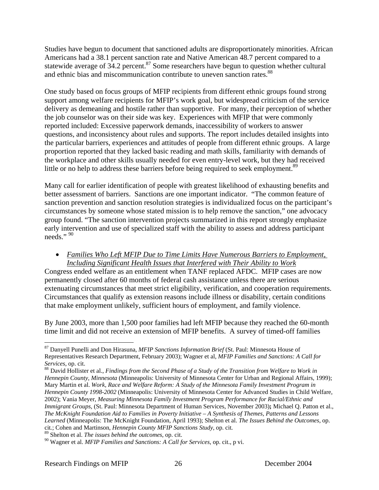Studies have begun to document that sanctioned adults are disproportionately minorities. African Americans had a 38.1 percent sanction rate and Native American 48.7 percent compared to a statewide average of  $34.2$  percent.<sup>87</sup> Some researchers have begun to question whether cultural and ethnic bias and miscommunication contribute to uneven sanction rates.<sup>88</sup>

One study based on focus groups of MFIP recipients from different ethnic groups found strong support among welfare recipients for MFIP's work goal, but widespread criticism of the service delivery as demeaning and hostile rather than supportive. For many, their perception of whether the job counselor was on their side was key. Experiences with MFIP that were commonly reported included: Excessive paperwork demands, inaccessibility of workers to answer questions, and inconsistency about rules and supports. The report includes detailed insights into the particular barriers, experiences and attitudes of people from different ethnic groups. A large proportion reported that they lacked basic reading and math skills, familiarity with demands of the workplace and other skills usually needed for even entry-level work, but they had received little or no help to address these barriers before being required to seek employment.<sup>89</sup>

Many call for earlier identification of people with greatest likelihood of exhausting benefits and better assessment of barriers. Sanctions are one important indicator. "The common feature of sanction prevention and sanction resolution strategies is individualized focus on the participant's circumstances by someone whose stated mission is to help remove the sanction," one advocacy group found. "The sanction intervention projects summarized in this report strongly emphasize early intervention and use of specialized staff with the ability to assess and address participant needs."<sup>90</sup>

## • *Families Who Left MFIP Due to Time Limits Have Numerous Barriers to Employment, Including Significant Health Issues that Interfered with Their Ability to Work*

Congress ended welfare as an entitlement when TANF replaced AFDC. MFIP cases are now permanently closed after 60 months of federal cash assistance unless there are serious extenuating circumstances that meet strict eligibility, verification, and cooperation requirements. Circumstances that qualify as extension reasons include illness or disability, certain conditions that make employment unlikely, sufficient hours of employment, and family violence.

By June 2003, more than 1,500 poor families had left MFIP because they reached the 60-month time limit and did not receive an extension of MFIP benefits. A survey of timed-off families

<sup>87</sup> Danyell Punelli and Don Hirasuna, *MFIP Sanctions Information Brief* (St. Paul: Minnesota House of Representatives Research Department, February 2003); Wagner et al, *MFIP Families and Sanctions: A Call for Services*, op. cit.<br><sup>88</sup> David Hollister et al., *Findings from the Second Phase of a Study of the Transition from Welfare to Work in* 

*Hennepin County, Minnesota* (Minneapolis: University of Minnesota Center for Urban and Regional Affairs, 1999); Mary Martin et al. *Work, Race and Welfare Reform: A Study of the Minnesota Family Investment Program in Hennepin County 1998-2002* (Minneapolis: University of Minnesota Center for Advanced Studies in Child Welfare, 2002); Vania Meyer, *Measuring Minnesota Family Investment Program Performance for Racial/Ethnic and Immigrant Groups,* (St. Paul: Minnesota Department of Human Services, November 2003)**;** Michael Q. Patton et al., *The McKnight Foundation Aid to Families in Poverty Initiative – A Synthesis of Themes, Patterns and Lessons Learned* (Minneapolis: The McKnight Foundation, April 1993); Shelton et al. *The Issues Behind the Outcomes*, op. cit*.*; Cohen and Martinson, *Hennepin County MFIP Sanctions Study,* op. cit*.* 89 Shelton et al. *The issues behind the outcomes*, op. cit.

<sup>90</sup> Wagner et al. *MFIP Families and Sanctions: A Call for Services*, op. cit., p vi.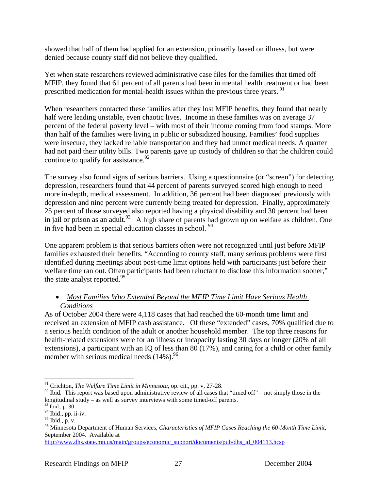showed that half of them had applied for an extension, primarily based on illness, but were denied because county staff did not believe they qualified.

Yet when state researchers reviewed administrative case files for the families that timed off MFIP, they found that 61 percent of all parents had been in mental health treatment or had been prescribed medication for mental-health issues within the previous three years.<sup>91</sup>

When researchers contacted these families after they lost MFIP benefits, they found that nearly half were leading unstable, even chaotic lives. Income in these families was on average 37 percent of the federal poverty level – with most of their income coming from food stamps. More than half of the families were living in public or subsidized housing. Families' food supplies were insecure, they lacked reliable transportation and they had unmet medical needs. A quarter had not paid their utility bills. Two parents gave up custody of children so that the children could continue to qualify for assistance.  $92$ 

The survey also found signs of serious barriers. Using a questionnaire (or "screen") for detecting depression, researchers found that 44 percent of parents surveyed scored high enough to need more in-depth, medical assessment. In addition, 36 percent had been diagnosed previously with depression and nine percent were currently being treated for depression. Finally, approximately 25 percent of those surveyed also reported having a physical disability and 30 percent had been in jail or prison as an adult.<sup>93</sup> A high share of parents had grown up on welfare as children. One in five had been in special education classes in school. 94

One apparent problem is that serious barriers often were not recognized until just before MFIP families exhausted their benefits. "According to county staff, many serious problems were first identified during meetings about post-time limit options held with participants just before their welfare time ran out. Often participants had been reluctant to disclose this information sooner," the state analyst reported.<sup>95</sup>

# • *Most Families Who Extended Beyond the MFIP Time Limit Have Serious Health Conditions*

As of October 2004 there were 4,118 cases that had reached the 60-month time limit and received an extension of MFIP cash assistance. Of these "extended" cases, 70% qualified due to a serious health condition of the adult or another household member. The top three reasons for health-related extensions were for an illness or incapacity lasting 30 days or longer (20% of all extensions), a participant with an IQ of less than 80 (17%), and caring for a child or other family member with serious medical needs  $(14\%)$ .<sup>96</sup>

<sup>91</sup> Crichton, *The Welfare Time Limit in Minnesota*, op. cit., pp. v, 27-28.

<sup>&</sup>lt;sup>92</sup> Ibid. This report was based upon administrative review of all cases that "timed off" – not simply those in the longitudinal study – as well as survey interviews with some timed-off parents.

<sup>93</sup> Ibid., p. 30

<sup>94</sup> Ibid., pp. ii-iv.

 $95$  Ibid., p. v.

<sup>96</sup> Minnesota Department of Human Services, *Characteristics of MFIP Cases Reaching the 60-Month Time Limit*, September 2004. Available at

http://www.dhs.state.mn.us/main/groups/economic\_support/documents/pub/dhs\_id\_004113.hcsp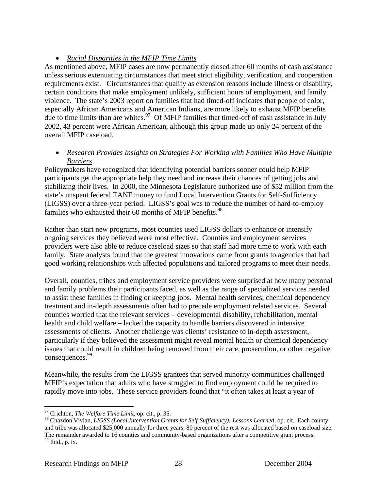# • *Racial Disparities in the MFIP Time Limits*

As mentioned above, MFIP cases are now permanently closed after 60 months of cash assistance unless serious extenuating circumstances that meet strict eligibility, verification, and cooperation requirements exist. Circumstances that qualify as extension reasons include illness or disability, certain conditions that make employment unlikely, sufficient hours of employment, and family violence. The state's 2003 report on families that had timed-off indicates that people of color, especially African Americans and American Indians, are more likely to exhaust MFIP benefits due to time limits than are whites.<sup>97</sup> Of MFIP families that timed-off of cash assistance in July 2002, 43 percent were African American, although this group made up only 24 percent of the overall MFIP caseload.

# • *Research Provides Insights on Strategies For Working with Families Who Have Multiple Barriers*

Policymakers have recognized that identifying potential barriers sooner could help MFIP participants get the appropriate help they need and increase their chances of getting jobs and stabilizing their lives. In 2000, the Minnesota Legislature authorized use of \$52 million from the state's unspent federal TANF money to fund Local Intervention Grants for Self-Sufficiency (LIGSS) over a three-year period. LIGSS's goal was to reduce the number of hard-to-employ families who exhausted their 60 months of MFIP benefits. $98$ 

Rather than start new programs, most counties used LIGSS dollars to enhance or intensify ongoing services they believed were most effective. Counties and employment services providers were also able to reduce caseload sizes so that staff had more time to work with each family. State analysts found that the greatest innovations came from grants to agencies that had good working relationships with affected populations and tailored programs to meet their needs.

Overall, counties, tribes and employment service providers were surprised at how many personal and family problems their participants faced, as well as the range of specialized services needed to assist these families in finding or keeping jobs. Mental health services, chemical dependency treatment and in-depth assessments often had to precede employment related services. Several counties worried that the relevant services – developmental disability, rehabilitation, mental health and child welfare – lacked the capacity to handle barriers discovered in intensive assessments of clients. Another challenge was clients' resistance to in-depth assessment, particularly if they believed the assessment might reveal mental health or chemical dependency issues that could result in children being removed from their care, prosecution, or other negative consequences.<sup>99</sup>

Meanwhile, the results from the LIGSS grantees that served minority communities challenged MFIP's expectation that adults who have struggled to find employment could be required to rapidly move into jobs. These service providers found that "it often takes at least a year of

1

<sup>97</sup> Crichton, *The Welfare Time Limit*, op. cit., p. 35.

<sup>98</sup> Chazdon Vivian, *LIGSS (Local Intervention Grants for Self-Sufficiency): Lessons Learned*, op. cit.Each county and tribe was allocated \$25,000 annually for three years; 80 percent of the rest was allocated based on caseload size. The remainder awarded to 16 counties and community-based organizations after a competitive grant process.<br><sup>99</sup> Ibid., p. ix.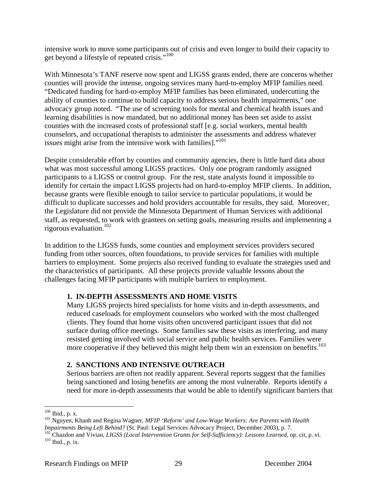intensive work to move some participants out of crisis and even longer to build their capacity to get beyond a lifestyle of repeated crisis."100

With Minnesota's TANF reserve now spent and LIGSS grants ended, there are concerns whether counties will provide the intense, ongoing services many hard-to-employ MFIP families need. "Dedicated funding for hard-to-employ MFIP families has been eliminated, undercutting the ability of counties to continue to build capacity to address serious health impairments," one advocacy group noted. "The use of screening tools for mental and chemical health issues and learning disabilities is now mandated, but no additional money has been set aside to assist counties with the increased costs of professional staff [e.g. social workers, mental health counselors, and occupational therapists to administer the assessments and address whatever issues might arise from the intensive work with families]."101

Despite considerable effort by counties and community agencies, there is little hard data about what was most successful among LIGSS practices. Only one program randomly assigned participants to a LIGSS or control group. For the rest, state analysts found it impossible to identify for certain the impact LIGSS projects had on hard-to-employ MFIP clients. In addition, because grants were flexible enough to tailor service to particular populations, it would be difficult to duplicate successes and hold providers accountable for results, they said. Moreover, the Legislature did not provide the Minnesota Department of Human Services with additional staff, as requested, to work with grantees on setting goals, measuring results and implementing a rigorous evaluation.102

In addition to the LIGSS funds, some counties and employment services providers secured funding from other sources, often foundations, to provide services for families with multiple barriers to employment. Some projects also received funding to evaluate the strategies used and the characteristics of participants. All these projects provide valuable lessons about the challenges facing MFIP participants with multiple barriers to employment.

# **1. IN-DEPTH ASSESSMENTS AND HOME VISITS**

Many LIGSS projects hired specialists for home visits and in-depth assessments, and reduced caseloads for employment counselors who worked with the most challenged clients. They found that home visits often uncovered participant issues that did not surface during office meetings. Some families saw these visits as interfering, and many resisted getting involved with social service and public health services. Families were more cooperative if they believed this might help them win an extension on benefits.<sup>103</sup>

# **2. SANCTIONS AND INTENSIVE OUTREACH**

Serious barriers are often not readily apparent. Several reports suggest that the families being sanctioned and losing benefits are among the most vulnerable. Reports identify a need for more in-depth assessments that would be able to identify significant barriers that

<sup>&</sup>lt;sup>100</sup> Ibid., p. x.

<sup>&</sup>lt;sup>101</sup> Nguyen, Khanh and Regina Wagner, *MFIP 'Reform' and Low-Wage Workers: Are Parents with Health Impairments Being Left Behind? (St. Paul: Legal Services Advocacy Project, December 2003), p. 7.* 

 $^{102}$ Chazdon and Vivian, LIGSS (Local Intervention Grants for Self-Sufficiency): Lessons Learned, op. cit, p. vi.<br><sup>103</sup> Ibid., p. ix.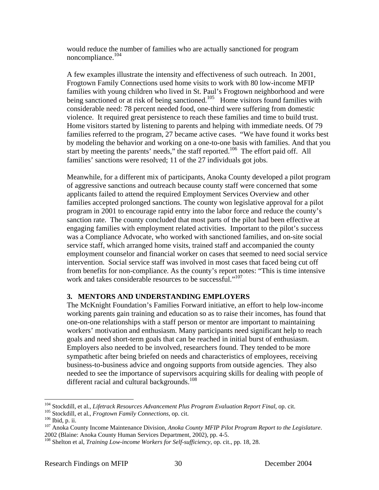would reduce the number of families who are actually sanctioned for program noncompliance.<sup>104</sup>

A few examples illustrate the intensity and effectiveness of such outreach. In 2001, Frogtown Family Connections used home visits to work with 80 low-income MFIP families with young children who lived in St. Paul's Frogtown neighborhood and were being sanctioned or at risk of being sanctioned.<sup>105</sup> Home visitors found families with considerable need: 78 percent needed food, one-third were suffering from domestic violence. It required great persistence to reach these families and time to build trust. Home visitors started by listening to parents and helping with immediate needs. Of 79 families referred to the program, 27 became active cases. "We have found it works best by modeling the behavior and working on a one-to-one basis with families. And that you start by meeting the parents' needs," the staff reported.<sup>106</sup> The effort paid off. All families' sanctions were resolved; 11 of the 27 individuals got jobs.

Meanwhile, for a different mix of participants, Anoka County developed a pilot program of aggressive sanctions and outreach because county staff were concerned that some applicants failed to attend the required Employment Services Overview and other families accepted prolonged sanctions. The county won legislative approval for a pilot program in 2001 to encourage rapid entry into the labor force and reduce the county's sanction rate. The county concluded that most parts of the pilot had been effective at engaging families with employment related activities. Important to the pilot's success was a Compliance Advocate, who worked with sanctioned families, and on-site social service staff, which arranged home visits, trained staff and accompanied the county employment counselor and financial worker on cases that seemed to need social service intervention. Social service staff was involved in most cases that faced being cut off from benefits for non-compliance. As the county's report notes: "This is time intensive work and takes considerable resources to be successful."<sup>107</sup>

# **3. MENTORS AND UNDERSTANDING EMPLOYERS**

The McKnight Foundation's Families Forward initiative, an effort to help low-income working parents gain training and education so as to raise their incomes, has found that one-on-one relationships with a staff person or mentor are important to maintaining workers' motivation and enthusiasm. Many participants need significant help to reach goals and need short-term goals that can be reached in initial burst of enthusiasm. Employers also needed to be involved, researchers found. They tended to be more sympathetic after being briefed on needs and characteristics of employees, receiving business-to-business advice and ongoing supports from outside agencies. They also needed to see the importance of supervisors acquiring skills for dealing with people of different racial and cultural backgrounds.<sup>108</sup>

<sup>&</sup>lt;sup>104</sup> Stockdill, et al., Lifetrack Resources Advancement Plus Program Evaluation Report Final, op. cit.

<sup>&</sup>lt;sup>105</sup> Stockdill, et al., *Frogtown Family Connections*, op. cit.<br><sup>106</sup> Ibid, p. ii.<br><sup>107</sup> Anoka County Income Maintenance Division, *Anoka County MFIP Pilot Program Report to the Legislature*. 2002 (Blaine: Anoka County Human Services Department, 2002), pp. 4-5.

<sup>108</sup> Shelton et al, *Training Low-income Workers for Self-sufficiency*, op. cit., pp. 18, 28.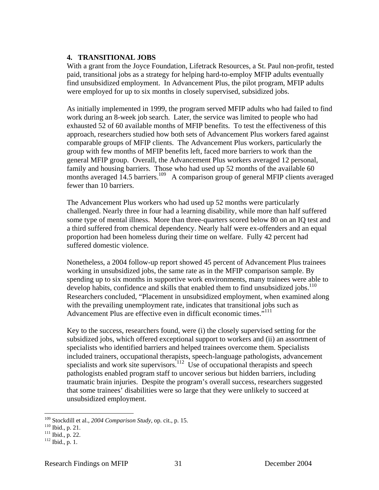## **4. TRANSITIONAL JOBS**

With a grant from the Joyce Foundation, Lifetrack Resources, a St. Paul non-profit, tested paid, transitional jobs as a strategy for helping hard-to-employ MFIP adults eventually find unsubsidized employment. In Advancement Plus, the pilot program, MFIP adults were employed for up to six months in closely supervised, subsidized jobs.

As initially implemented in 1999, the program served MFIP adults who had failed to find work during an 8-week job search. Later, the service was limited to people who had exhausted 52 of 60 available months of MFIP benefits. To test the effectiveness of this approach, researchers studied how both sets of Advancement Plus workers fared against comparable groups of MFIP clients. The Advancement Plus workers, particularly the group with few months of MFIP benefits left, faced more barriers to work than the general MFIP group. Overall, the Advancement Plus workers averaged 12 personal, family and housing barriers. Those who had used up 52 months of the available 60 months averaged  $14.5$  barriers.<sup>109</sup> A comparison group of general MFIP clients averaged fewer than 10 barriers.

The Advancement Plus workers who had used up 52 months were particularly challenged. Nearly three in four had a learning disability, while more than half suffered some type of mental illness. More than three-quarters scored below 80 on an IQ test and a third suffered from chemical dependency. Nearly half were ex-offenders and an equal proportion had been homeless during their time on welfare. Fully 42 percent had suffered domestic violence.

Nonetheless, a 2004 follow-up report showed 45 percent of Advancement Plus trainees working in unsubsidized jobs, the same rate as in the MFIP comparison sample. By spending up to six months in supportive work environments, many trainees were able to develop habits, confidence and skills that enabled them to find unsubsidized jobs.<sup>110</sup> Researchers concluded, "Placement in unsubsidized employment, when examined along with the prevailing unemployment rate, indicates that transitional jobs such as Advancement Plus are effective even in difficult economic times."<sup>111</sup>

Key to the success, researchers found, were (i) the closely supervised setting for the subsidized jobs, which offered exceptional support to workers and (ii) an assortment of specialists who identified barriers and helped trainees overcome them. Specialists included trainers, occupational therapists, speech-language pathologists, advancement specialists and work site supervisors.<sup>112</sup> Use of occupational therapists and speech pathologists enabled program staff to uncover serious but hidden barriers, including traumatic brain injuries. Despite the program's overall success, researchers suggested that some trainees' disabilities were so large that they were unlikely to succeed at unsubsidized employment.

<u>.</u>

<sup>&</sup>lt;sup>109</sup> Stockdill et al., *2004 Comparison Study*, op. cit., p. 15.<br><sup>110</sup> Ibid., p. 21.<br><sup>111</sup> Ibid., p. 22.<br><sup>112</sup> Ibid., p. 1.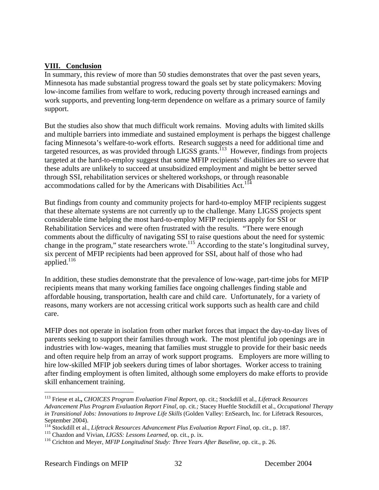# **VIII. Conclusion**

In summary, this review of more than 50 studies demonstrates that over the past seven years, Minnesota has made substantial progress toward the goals set by state policymakers: Moving low-income families from welfare to work, reducing poverty through increased earnings and work supports, and preventing long-term dependence on welfare as a primary source of family support.

But the studies also show that much difficult work remains. Moving adults with limited skills and multiple barriers into immediate and sustained employment is perhaps the biggest challenge facing Minnesota's welfare-to-work efforts. Research suggests a need for additional time and targeted resources, as was provided through LIGSS grants.<sup>113</sup> However, findings from projects targeted at the hard-to-employ suggest that some MFIP recipients' disabilities are so severe that these adults are unlikely to succeed at unsubsidized employment and might be better served through SSI, rehabilitation services or sheltered workshops, or through reasonable accommodations called for by the Americans with Disabilities Act.<sup>114</sup>

But findings from county and community projects for hard-to-employ MFIP recipients suggest that these alternate systems are not currently up to the challenge. Many LIGSS projects spent considerable time helping the most hard-to-employ MFIP recipients apply for SSI or Rehabilitation Services and were often frustrated with the results. "There were enough comments about the difficulty of navigating SSI to raise questions about the need for systemic change in the program," state researchers wrote.<sup>115</sup> According to the state's longitudinal survey, six percent of MFIP recipients had been approved for SSI, about half of those who had applied.<sup>116</sup>

In addition, these studies demonstrate that the prevalence of low-wage, part-time jobs for MFIP recipients means that many working families face ongoing challenges finding stable and affordable housing, transportation, health care and child care. Unfortunately, for a variety of reasons, many workers are not accessing critical work supports such as health care and child care.

MFIP does not operate in isolation from other market forces that impact the day-to-day lives of parents seeking to support their families through work. The most plentiful job openings are in industries with low-wages, meaning that families must struggle to provide for their basic needs and often require help from an array of work support programs. Employers are more willing to hire low-skilled MFIP job seekers during times of labor shortages. Worker access to training after finding employment is often limited, although some employers do make efforts to provide skill enhancement training.

<sup>113</sup> Friese et al**.,** *CHOICES Program Evaluation Final Report*, op. cit.; Stockdill et al., *Lifetrack Resources Advancement Plus Program Evaluation Report Final,* op. cit*.;* Stacey Hueftle Stockdill et al., *Occupational Therapy in Transitional Jobs: Innovations to Improve Life Skills* (Golden Valley: EnSearch, Inc. for Lifetrack Resources, September 2004).

<sup>&</sup>lt;sup>114</sup> Stockdill et al., *Lifetrack Resources Advancement Plus Evaluation Report Final*, op. cit., p. 187.<br><sup>115</sup> Chazdon and Vivian, *LIGSS: Lessons Learned*, op. cit., p. ix.<br><sup>116</sup> Crichton and Meyer, *MFIP Longitudinal St*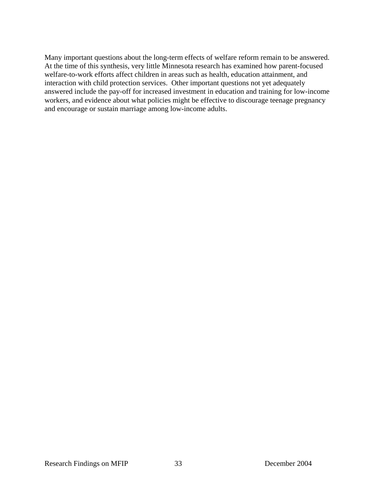Many important questions about the long-term effects of welfare reform remain to be answered. At the time of this synthesis, very little Minnesota research has examined how parent-focused welfare-to-work efforts affect children in areas such as health, education attainment, and interaction with child protection services. Other important questions not yet adequately answered include the pay-off for increased investment in education and training for low-income workers, and evidence about what policies might be effective to discourage teenage pregnancy and encourage or sustain marriage among low-income adults.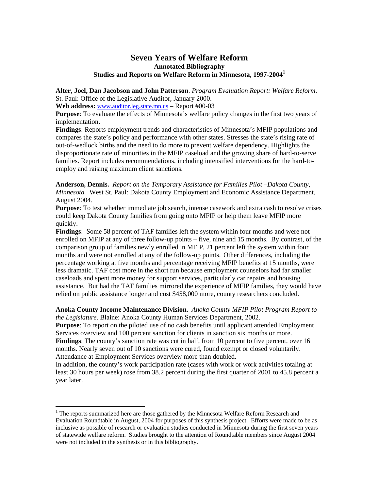# **Seven Years of Welfare Reform Annotated Bibliography Studies and Reports on Welfare Reform in Minnesota, 1997-20041**

**Alter, Joel, Dan Jacobson and John Patterson**. *Program Evaluation Report: Welfare Reform*. St. Paul: Office of the Legislative Auditor, January 2000.

**Web address:** www.auditor.leg.state.mn.us **–** Report #00-03

**Purpose**: To evaluate the effects of Minnesota's welfare policy changes in the first two years of implementation.

**Findings**: Reports employment trends and characteristics of Minnesota's MFIP populations and compares the state's policy and performance with other states. Stresses the state's rising rate of out-of-wedlock births and the need to do more to prevent welfare dependency. Highlights the disproportionate rate of minorities in the MFIP caseload and the growing share of hard-to-serve families. Report includes recommendations, including intensified interventions for the hard-toemploy and raising maximum client sanctions.

**Anderson, Dennis.** *Report on the Temporary Assistance for Families Pilot –Dakota County, Minnesota.* West St. Paul: Dakota County Employment and Economic Assistance Department, August 2004.

**Purpose**: To test whether immediate job search, intense casework and extra cash to resolve crises could keep Dakota County families from going onto MFIP or help them leave MFIP more quickly.

**Findings**: Some 58 percent of TAF families left the system within four months and were not enrolled on MFIP at any of three follow-up points – five, nine and 15 months. By contrast, of the comparison group of families newly enrolled in MFIP, 21 percent left the system within four months and were not enrolled at any of the follow-up points. Other differences, including the percentage working at five months and percentage receiving MFIP benefits at 15 months, were less dramatic. TAF cost more in the short run because employment counselors had far smaller caseloads and spent more money for support services, particularly car repairs and housing assistance. But had the TAF families mirrored the experience of MFIP families, they would have relied on public assistance longer and cost \$458,000 more, county researchers concluded.

### **Anoka County Income Maintenance Division.** *Anoka County MFIP Pilot Program Report to the Legislature*. Blaine: Anoka County Human Services Department, 2002.

**Purpose**: To report on the piloted use of no cash benefits until applicant attended Employment Services overview and 100 percent sanction for clients in sanction six months or more.

**Findings**: The county's sanction rate was cut in half, from 10 percent to five percent, over 16 months. Nearly seven out of 10 sanctions were cured, found exempt or closed voluntarily. Attendance at Employment Services overview more than doubled.

In addition, the county's work participation rate (cases with work or work activities totaling at least 30 hours per week) rose from 38.2 percent during the first quarter of 2001 to 45.8 percent a year later.

<sup>&</sup>lt;sup>1</sup> The reports summarized here are those gathered by the Minnesota Welfare Reform Research and Evaluation Roundtable in August, 2004 for purposes of this synthesis project. Efforts were made to be as inclusive as possible of research or evaluation studies conducted in Minnesota during the first seven years of statewide welfare reform. Studies brought to the attention of Roundtable members since August 2004 were not included in the synthesis or in this bibliography.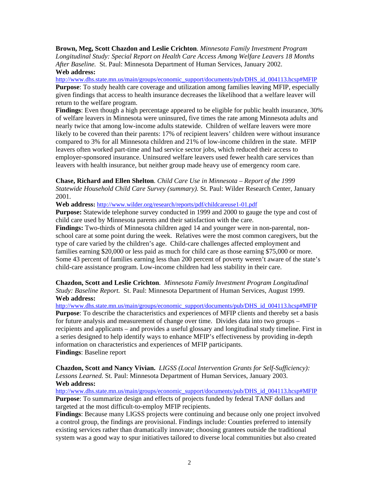**Brown, Meg, Scott Chazdon and Leslie Crichton**. *Minnesota Family Investment Program Longitudinal Study: Special Report on Health Care Access Among Welfare Leavers 18 Months After Baseline.* St. Paul: Minnesota Department of Human Services, January 2002. **Web address:** 

http://www.dhs.state.mn.us/main/groups/economic\_support/documents/pub/DHS\_id\_004113.hcsp#MFIP **Purpose**: To study health care coverage and utilization among families leaving MFIP, especially given findings that access to health insurance decreases the likelihood that a welfare leaver will return to the welfare program.

**Findings**: Even though a high percentage appeared to be eligible for public health insurance, 30% of welfare leavers in Minnesota were uninsured, five times the rate among Minnesota adults and nearly twice that among low-income adults statewide. Children of welfare leavers were more likely to be covered than their parents: 17% of recipient leavers' children were without insurance compared to 3% for all Minnesota children and 21% of low-income children in the state. MFIP leavers often worked part-time and had service sector jobs, which reduced their access to employer-sponsored insurance. Uninsured welfare leavers used fewer health care services than leavers with health insurance, but neither group made heavy use of emergency room care.

**Chase, Richard and Ellen Shelton**. *Child Care Use in Minnesota – Report of the 1999 Statewide Household Child Care Survey (summary).* St. Paul: Wilder Research Center, January 2001.

**Web address:** http://www.wilder.org/research/reports/pdf/childcareuse1-01.pdf

**Purpose:** Statewide telephone survey conducted in 1999 and 2000 to gauge the type and cost of child care used by Minnesota parents and their satisfaction with the care.

**Findings:** Two-thirds of Minnesota children aged 14 and younger were in non-parental, nonschool care at some point during the week. Relatives were the most common caregivers, but the type of care varied by the children's age. Child-care challenges affected employment and families earning \$20,000 or less paid as much for child care as those earning \$75,000 or more. Some 43 percent of families earning less than 200 percent of poverty weren't aware of the state's child-care assistance program. Low-income children had less stability in their care.

**Chazdon, Scott and Leslie Crichton**. *Minnesota Family Investment Program Longitudinal Study: Baseline Report.* St. Paul: Minnesota Department of Human Services, August 1999. **Web address:** 

http://www.dhs.state.mn.us/main/groups/economic\_support/documents/pub/DHS\_id\_004113.hcsp#MFIP **Purpose**: To describe the characteristics and experiences of MFIP clients and thereby set a basis for future analysis and measurement of change over time. Divides data into two groups – recipients and applicants – and provides a useful glossary and longitudinal study timeline. First in a series designed to help identify ways to enhance MFIP's effectiveness by providing in-depth information on characteristics and experiences of MFIP participants. **Findings**: Baseline report

**Chazdon, Scott and Nancy Vivian.** *LIGSS (Local Intervention Grants for Self-Sufficiency): Lessons Learned.* St. Paul: Minnesota Department of Human Services, January 2003. **Web address:**

http://www.dhs.state.mn.us/main/groups/economic\_support/documents/pub/DHS\_id\_004113.hcsp#MFIP **Purpose**: To summarize design and effects of projects funded by federal TANF dollars and targeted at the most difficult-to-employ MFIP recipients.

**Findings**: Because many LIGSS projects were continuing and because only one project involved a control group, the findings are provisional. Findings include: Counties preferred to intensify existing services rather than dramatically innovate; choosing grantees outside the traditional system was a good way to spur initiatives tailored to diverse local communities but also created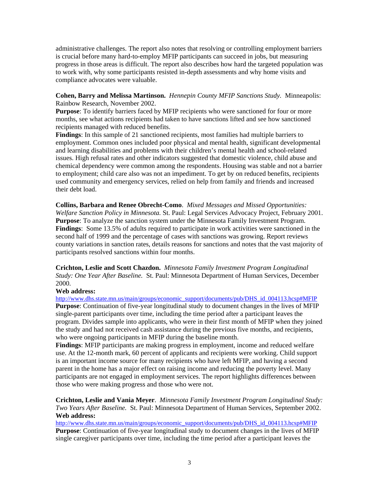administrative challenges. The report also notes that resolving or controlling employment barriers is crucial before many hard-to-employ MFIP participants can succeed in jobs, but measuring progress in those areas is difficult. The report also describes how hard the targeted population was to work with, why some participants resisted in-depth assessments and why home visits and compliance advocates were valuable.

### **Cohen, Barry and Melissa Martinson.** *Hennepin County MFIP Sanctions Study.* Minneapolis: Rainbow Research, November 2002.

**Purpose**: To identify barriers faced by MFIP recipients who were sanctioned for four or more months, see what actions recipients had taken to have sanctions lifted and see how sanctioned recipients managed with reduced benefits.

**Findings**: In this sample of 21 sanctioned recipients, most families had multiple barriers to employment. Common ones included poor physical and mental health, significant developmental and learning disabilities and problems with their children's mental health and school-related issues. High refusal rates and other indicators suggested that domestic violence, child abuse and chemical dependency were common among the respondents. Housing was stable and not a barrier to employment; child care also was not an impediment. To get by on reduced benefits, recipients used community and emergency services, relied on help from family and friends and increased their debt load.

**Collins, Barbara and Renee Obrecht-Como**. *Mixed Messages and Missed Opportunities: Welfare Sanction Policy in Minnesota.* St. Paul: Legal Services Advocacy Project, February 2001. **Purpose**: To analyze the sanction system under the Minnesota Family Investment Program. **Findings**: Some 13.5% of adults required to participate in work activities were sanctioned in the second half of 1999 and the percentage of cases with sanctions was growing. Report reviews county variations in sanction rates, details reasons for sanctions and notes that the vast majority of participants resolved sanctions within four months.

**Crichton, Leslie and Scott Chazdon.** *Minnesota Family Investment Program Longitudinal Study: One Year After Baseline.* St. Paul: Minnesota Department of Human Services, December 2000.

### **Web address:**

http://www.dhs.state.mn.us/main/groups/economic\_support/documents/pub/DHS\_id\_004113.hcsp#MFIP **Purpose**: Continuation of five-year longitudinal study to document changes in the lives of MFIP single-parent participants over time, including the time period after a participant leaves the program. Divides sample into applicants, who were in their first month of MFIP when they joined the study and had not received cash assistance during the previous five months, and recipients, who were ongoing participants in MFIP during the baseline month.

**Findings**: MFIP participants are making progress in employment, income and reduced welfare use. At the 12-month mark, 60 percent of applicants and recipients were working. Child support is an important income source for many recipients who have left MFIP, and having a second parent in the home has a major effect on raising income and reducing the poverty level. Many participants are not engaged in employment services. The report highlights differences between those who were making progress and those who were not.

**Crichton, Leslie and Vania Meyer**. *Minnesota Family Investment Program Longitudinal Study: Two Years After Baseline.* St. Paul: Minnesota Department of Human Services, September 2002. **Web address:**

http://www.dhs.state.mn.us/main/groups/economic\_support/documents/pub/DHS\_id\_004113.hcsp#MFIP **Purpose**: Continuation of five-year longitudinal study to document changes in the lives of MFIP single caregiver participants over time, including the time period after a participant leaves the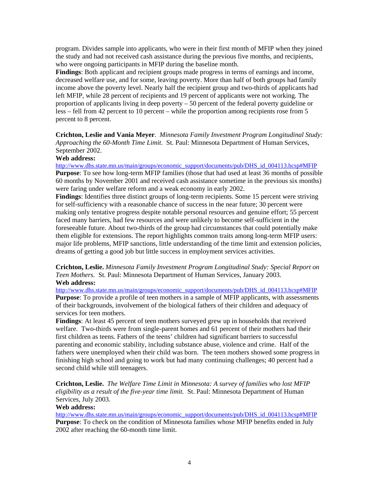program. Divides sample into applicants, who were in their first month of MFIP when they joined the study and had not received cash assistance during the previous five months, and recipients, who were ongoing participants in MFIP during the baseline month.

**Findings**: Both applicant and recipient groups made progress in terms of earnings and income, decreased welfare use, and for some, leaving poverty. More than half of both groups had family income above the poverty level. Nearly half the recipient group and two-thirds of applicants had left MFIP, while 28 percent of recipients and 19 percent of applicants were not working. The proportion of applicants living in deep poverty – 50 percent of the federal poverty guideline or less – fell from 42 percent to 10 percent – while the proportion among recipients rose from 5 percent to 8 percent.

**Crichton, Leslie and Vania Meyer**. *Minnesota Family Investment Program Longitudinal Study: Approaching the 60-Month Time Limit.* St. Paul: Minnesota Department of Human Services, September 2002.

### **Web address:**

http://www.dhs.state.mn.us/main/groups/economic\_support/documents/pub/DHS\_id\_004113.hcsp#MFIP

**Purpose**: To see how long-term MFIP families (those that had used at least 36 months of possible 60 months by November 2001 and received cash assistance sometime in the previous six months) were faring under welfare reform and a weak economy in early 2002.

**Findings**: Identifies three distinct groups of long-term recipients. Some 15 percent were striving for self-sufficiency with a reasonable chance of success in the near future; 30 percent were making only tentative progress despite notable personal resources and genuine effort; 55 percent faced many barriers, had few resources and were unlikely to become self-sufficient in the foreseeable future. About two-thirds of the group had circumstances that could potentially make them eligible for extensions. The report highlights common traits among long-term MFIP users: major life problems, MFIP sanctions, little understanding of the time limit and extension policies, dreams of getting a good job but little success in employment services activities.

**Crichton, Leslie.** *Minnesota Family Investment Program Longitudinal Study: Special Report on Teen Mothers.* St. Paul: Minnesota Department of Human Services, January 2003. **Web address:**

http://www.dhs.state.mn.us/main/groups/economic\_support/documents/pub/DHS\_id\_004113.hcsp#MFIP **Purpose**: To provide a profile of teen mothers in a sample of MFIP applicants, with assessments of their backgrounds, involvement of the biological fathers of their children and adequacy of services for teen mothers.

**Findings**: At least 45 percent of teen mothers surveyed grew up in households that received welfare. Two-thirds were from single-parent homes and 61 percent of their mothers had their first children as teens. Fathers of the teens' children had significant barriers to successful parenting and economic stability, including substance abuse, violence and crime. Half of the fathers were unemployed when their child was born. The teen mothers showed some progress in finishing high school and going to work but had many continuing challenges; 40 percent had a second child while still teenagers.

**Crichton, Leslie.** *The Welfare Time Limit in Minnesota: A survey of families who lost MFIP eligibility as a result of the five-year time limit.* St. Paul: Minnesota Department of Human Services, July 2003.

### **Web address:**

http://www.dhs.state.mn.us/main/groups/economic\_support/documents/pub/DHS\_id\_004113.hcsp#MFIP **Purpose**: To check on the condition of Minnesota families whose MFIP benefits ended in July 2002 after reaching the 60-month time limit.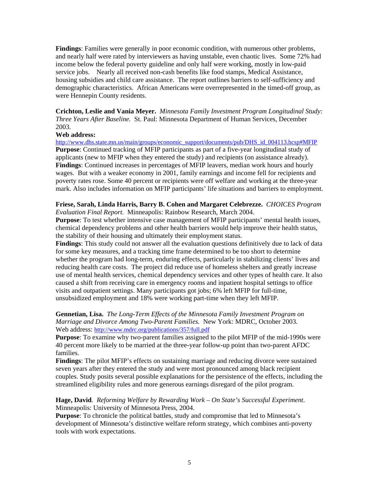**Findings**: Families were generally in poor economic condition, with numerous other problems, and nearly half were rated by interviewers as having unstable, even chaotic lives. Some 72% had income below the federal poverty guideline and only half were working, mostly in low-paid service jobs. Nearly all received non-cash benefits like food stamps, Medical Assistance, housing subsidies and child care assistance. The report outlines barriers to self-sufficiency and demographic characteristics. African Americans were overrepresented in the timed-off group, as were Hennepin County residents.

**Crichton, Leslie and Vania Meyer.** *Minnesota Family Investment Program Longitudinal Study: Three Years After Baseline.* St. Paul: Minnesota Department of Human Services, December 2003.

### **Web address:**

http://www.dhs.state.mn.us/main/groups/economic\_support/documents/pub/DHS\_id\_004113.hcsp#MFIP **Purpose**: Continued tracking of MFIP participants as part of a five-year longitudinal study of applicants (new to MFIP when they entered the study) and recipients (on assistance already). **Findings**: Continued increases in percentages of MFIP leavers, median work hours and hourly wages. But with a weaker economy in 2001, family earnings and income fell for recipients and poverty rates rose. Some 40 percent or recipients were off welfare and working at the three-year mark. Also includes information on MFIP participants' life situations and barriers to employment.

#### **Friese, Sarah, Linda Harris, Barry B. Cohen and Margaret Celebrezze.** *CHOICES Program Evaluation Final Report.* Minneapolis: Rainbow Research, March 2004.

**Purpose**: To test whether intensive case management of MFIP participants' mental health issues, chemical dependency problems and other health barriers would help improve their health status, the stability of their housing and ultimately their employment status.

**Findings**: This study could not answer all the evaluation questions definitively due to lack of data for some key measures, and a tracking time frame determined to be too short to determine whether the program had long-term, enduring effects, particularly in stabilizing clients' lives and reducing health care costs. The project did reduce use of homeless shelters and greatly increase use of mental health services, chemical dependency services and other types of health care. It also caused a shift from receiving care in emergency rooms and inpatient hospital settings to office visits and outpatient settings. Many participants got jobs; 6% left MFIP for full-time, unsubsidized employment and 18% were working part-time when they left MFIP.

### **Gennetian, Lisa.** *The Long-Term Effects of the Minnesota Family Investment Program on Marriage and Divorce Among Two-Parent Families.* New York: MDRC, October 2003. Web address: http://www.mdrc.org/publications/357/full.pdf

**Purpose**: To examine why two-parent families assigned to the pilot MFIP of the mid-1990s were 40 percent more likely to be married at the three-year follow-up point than two-parent AFDC families.

**Findings**: The pilot MFIP's effects on sustaining marriage and reducing divorce were sustained seven years after they entered the study and were most pronounced among black recipient couples. Study posits several possible explanations for the persistence of the effects, including the streamlined eligibility rules and more generous earnings disregard of the pilot program.

### **Hage, David**. *Reforming Welfare by Rewarding Work – On State's Successful Experiment*. Minneapolis: University of Minnesota Press, 2004.

**Purpose**: To chronicle the political battles, study and compromise that led to Minnesota's development of Minnesota's distinctive welfare reform strategy, which combines anti-poverty tools with work expectations.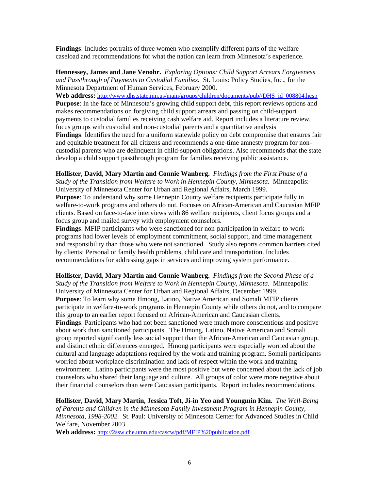**Findings**: Includes portraits of three women who exemplify different parts of the welfare caseload and recommendations for what the nation can learn from Minnesota's experience.

**Hennessey, James and Jane Venohr.** *Exploring Options: Child Support Arrears Forgiveness and Passthrough of Payments to Custodial Families.* St. Louis: Policy Studies, Inc., for the Minnesota Department of Human Services, February 2000.

**Web address:** http://www.dhs.state.mn.us/main/groups/children/documents/pub//DHS\_id\_008804.hcsp **Purpose**: In the face of Minnesota's growing child support debt, this report reviews options and makes recommendations on forgiving child support arrears and passing on child-support payments to custodial families receiving cash welfare aid. Report includes a literature review, focus groups with custodial and non-custodial parents and a quantitative analysis **Findings**: Identifies the need for a uniform statewide policy on debt compromise that ensures fair and equitable treatment for all citizens and recommends a one-time amnesty program for noncustodial parents who are delinquent in child-support obligations. Also recommends that the state develop a child support passthrough program for families receiving public assistance.

**Hollister, David, Mary Martin and Connie Wanberg.** *Findings from the First Phase of a Study of the Transition from Welfare to Work in Hennepin County, Minnesota.* Minneapolis: University of Minnesota Center for Urban and Regional Affairs, March 1999.

**Purpose**: To understand why some Hennepin County welfare recipients participate fully in welfare-to-work programs and others do not. Focuses on African-American and Caucasian MFIP clients. Based on face-to-face interviews with 86 welfare recipients, client focus groups and a focus group and mailed survey with employment counselors.

**Findings**: MFIP participants who were sanctioned for non-participation in welfare-to-work programs had lower levels of employment commitment, social support, and time management and responsibility than those who were not sanctioned. Study also reports common barriers cited by clients: Personal or family health problems, child care and transportation. Includes recommendations for addressing gaps in services and improving system performance.

**Hollister, David, Mary Martin and Connie Wanberg.** *Findings from the Second Phase of a Study of the Transition from Welfare to Work in Hennepin County, Minnesota.* Minneapolis: University of Minnesota Center for Urban and Regional Affairs, December 1999. **Purpose**: To learn why some Hmong, Latino, Native American and Somali MFIP clients participate in welfare-to-work programs in Hennepin County while others do not, and to compare this group to an earlier report focused on African-American and Caucasian clients. **Findings**: Participants who had not been sanctioned were much more conscientious and positive about work than sanctioned participants. The Hmong, Latino, Native American and Somali group reported significantly less social support than the African-American and Caucasian group, and distinct ethnic differences emerged. Hmong participants were especially worried about the cultural and language adaptations required by the work and training program. Somali participants worried about workplace discrimination and lack of respect within the work and training environment. Latino participants were the most positive but were concerned about the lack of job counselors who shared their language and culture. All groups of color were more negative about their financial counselors than were Caucasian participants. Report includes recommendations.

**Hollister, David, Mary Martin, Jessica Toft, Ji-in Yeo and Youngmin Kim**. *The Well-Being of Parents and Children in the Minnesota Family Investment Program in Hennepin County, Minnesota, 1998-2002.* St. Paul: University of Minnesota Center for Advanced Studies in Child Welfare, November 2003.

**Web address:** http://2ssw.che.umn.edu/cascw/pdf/MFIP%20publication.pdf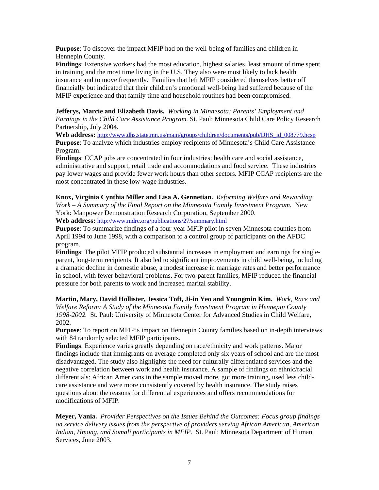**Purpose**: To discover the impact MFIP had on the well-being of families and children in Hennepin County.

**Findings**: Extensive workers had the most education, highest salaries, least amount of time spent in training and the most time living in the U.S. They also were most likely to lack health insurance and to move frequently. Families that left MFIP considered themselves better off financially but indicated that their children's emotional well-being had suffered because of the MFIP experience and that family time and household routines had been compromised.

**Jefferys, Marcie and Elizabeth Davis.** *Working in Minnesota: Parents' Employment and Earnings in the Child Care Assistance Program.* St. Paul: Minnesota Child Care Policy Research Partnership, July 2004.

**Web address:** http://www.dhs.state.mn.us/main/groups/children/documents/pub/DHS\_id\_008779.hcsp **Purpose**: To analyze which industries employ recipients of Minnesota's Child Care Assistance Program.

**Findings**: CCAP jobs are concentrated in four industries: health care and social assistance, administrative and support, retail trade and accommodations and food service. These industries pay lower wages and provide fewer work hours than other sectors. MFIP CCAP recipients are the most concentrated in these low-wage industries.

**Knox, Virginia Cynthia Miller and Lisa A. Gennetian.** *Reforming Welfare and Rewarding Work – A Summary of the Final Report on the Minnesota Family Investment Program.* New York: Manpower Demonstration Research Corporation, September 2000. **Web address:** http://www.mdrc.org/publications/27/summary.html

**Purpose**: To summarize findings of a four-year MFIP pilot in seven Minnesota counties from April 1994 to June 1998, with a comparison to a control group of participants on the AFDC program.

**Findings**: The pilot MFIP produced substantial increases in employment and earnings for singleparent, long-term recipients. It also led to significant improvements in child well-being, including a dramatic decline in domestic abuse, a modest increase in marriage rates and better performance in school, with fewer behavioral problems. For two-parent families, MFIP reduced the financial pressure for both parents to work and increased marital stability.

**Martin, Mary, David Hollister, Jessica Toft, Ji-in Yeo and Youngmin Kim.** *Work, Race and Welfare Reform: A Study of the Minnesota Family Investment Program in Hennepin County 1998-2002.* St. Paul: University of Minnesota Center for Advanced Studies in Child Welfare, 2002.

**Purpose**: To report on MFIP's impact on Hennepin County families based on in-depth interviews with 84 randomly selected MFIP participants.

**Findings**: Experience varies greatly depending on race/ethnicity and work patterns. Major findings include that immigrants on average completed only six years of school and are the most disadvantaged. The study also highlights the need for culturally differentiated services and the negative correlation between work and health insurance. A sample of findings on ethnic/racial differentials: African Americans in the sample moved more, got more training, used less childcare assistance and were more consistently covered by health insurance. The study raises questions about the reasons for differential experiences and offers recommendations for modifications of MFIP.

**Meyer, Vania.** *Provider Perspectives on the Issues Behind the Outcomes: Focus group findings on service delivery issues from the perspective of providers serving African American, American Indian, Hmong, and Somali participants in MFIP.* St. Paul: Minnesota Department of Human Services, June 2003.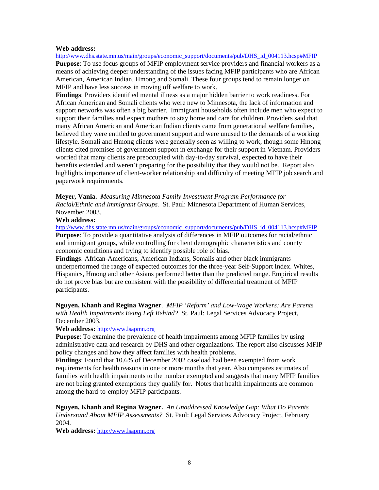#### **Web address:**

http://www.dhs.state.mn.us/main/groups/economic\_support/documents/pub/DHS\_id\_004113.hcsp#MFIP **Purpose**: To use focus groups of MFIP employment service providers and financial workers as a means of achieving deeper understanding of the issues facing MFIP participants who are African American, American Indian, Hmong and Somali. These four groups tend to remain longer on MFIP and have less success in moving off welfare to work.

**Findings**: Providers identified mental illness as a major hidden barrier to work readiness. For African American and Somali clients who were new to Minnesota, the lack of information and support networks was often a big barrier. Immigrant households often include men who expect to support their families and expect mothers to stay home and care for children. Providers said that many African American and American Indian clients came from generational welfare families, believed they were entitled to government support and were unused to the demands of a working lifestyle. Somali and Hmong clients were generally seen as willing to work, though some Hmong clients cited promises of government support in exchange for their support in Vietnam. Providers worried that many clients are preoccupied with day-to-day survival, expected to have their benefits extended and weren't preparing for the possibility that they would not be. Report also highlights importance of client-worker relationship and difficulty of meeting MFIP job search and paperwork requirements.

**Meyer, Vania.** *Measuring Minnesota Family Investment Program Performance for Racial/Ethnic and Immigrant Groups.* St. Paul: Minnesota Department of Human Services, November 2003.

#### **Web address:**

http://www.dhs.state.mn.us/main/groups/economic\_support/documents/pub/DHS\_id\_004113.hcsp#MFIP **Purpose**: To provide a quantitative analysis of differences in MFIP outcomes for racial/ethnic and immigrant groups, while controlling for client demographic characteristics and county economic conditions and trying to identify possible role of bias.

**Findings**: African-Americans, American Indians, Somalis and other black immigrants underperformed the range of expected outcomes for the three-year Self-Support Index. Whites, Hispanics, Hmong and other Asians performed better than the predicted range. Empirical results do not prove bias but are consistent with the possibility of differential treatment of MFIP participants.

**Nguyen, Khanh and Regina Wagner**. *MFIP 'Reform' and Low-Wage Workers: Are Parents with Health Impairments Being Left Behind?* St. Paul: Legal Services Advocacy Project, December 2003.

#### **Web address:** http://www.lsapmn.org

**Purpose**: To examine the prevalence of health impairments among MFIP families by using administrative data and research by DHS and other organizations. The report also discusses MFIP policy changes and how they affect families with health problems.

**Findings**: Found that 10.6% of December 2002 caseload had been exempted from work requirements for health reasons in one or more months that year. Also compares estimates of families with health impairments to the number exempted and suggests that many MFIP families are not being granted exemptions they qualify for. Notes that health impairments are common among the hard-to-employ MFIP participants.

**Nguyen, Khanh and Regina Wagner.** *An Unaddressed Knowledge Gap: What Do Parents Understand About MFIP Assessments?* St. Paul: Legal Services Advocacy Project, February 2004.

**Web address:** http://www.lsapmn.org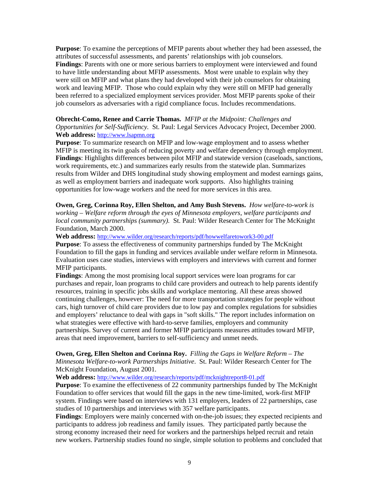**Purpose**: To examine the perceptions of MFIP parents about whether they had been assessed, the attributes of successful assessments, and parents' relationships with job counselors. **Findings**: Parents with one or more serious barriers to employment were interviewed and found to have little understanding about MFIP assessments. Most were unable to explain why they were still on MFIP and what plans they had developed with their job counselors for obtaining work and leaving MFIP. Those who could explain why they were still on MFIP had generally been referred to a specialized employment services provider. Most MFIP parents spoke of their job counselors as adversaries with a rigid compliance focus. Includes recommendations.

### **Obrecht-Como, Renee and Carrie Thomas.** *MFIP at the Midpoint: Challenges and Opportunities for Self-Sufficiency.* St. Paul: Legal Services Advocacy Project, December 2000. **Web address:** http://www.lsapmn.org

**Purpose**: To summarize research on MFIP and low-wage employment and to assess whether MFIP is meeting its twin goals of reducing poverty and welfare dependency through employment. **Findings**: Highlights differences between pilot MFIP and statewide version (caseloads, sanctions, work requirements, etc.) and summarizes early results from the statewide plan. Summarizes results from Wilder and DHS longitudinal study showing employment and modest earnings gains, as well as employment barriers and inadequate work supports. Also highlights training opportunities for low-wage workers and the need for more services in this area.

**Owen, Greg, Corinna Roy, Ellen Shelton, and Amy Bush Stevens.** *How welfare-to-work is working – Welfare reform through the eyes of Minnesota employers, welfare participants and local community partnerships (summary).* St. Paul: Wilder Research Center for The McKnight Foundation, March 2000.

**Web address:** http://www.wilder.org/research/reports/pdf/howwelfaretowork3-00.pdf

**Purpose**: To assess the effectiveness of community partnerships funded by The McKnight Foundation to fill the gaps in funding and services available under welfare reform in Minnesota. Evaluation uses case studies, interviews with employers and interviews with current and former MFIP participants.

**Findings**: Among the most promising local support services were loan programs for car purchases and repair, loan programs to child care providers and outreach to help parents identify resources, training in specific jobs skills and workplace mentoring. All these areas showed continuing challenges, however: The need for more transportation strategies for people without cars, high turnover of child care providers due to low pay and complex regulations for subsidies and employers' reluctance to deal with gaps in "soft skills." The report includes information on what strategies were effective with hard-to-serve families, employers and community partnerships. Survey of current and former MFIP participants measures attitudes toward MFIP, areas that need improvement, barriers to self-sufficiency and unmet needs.

**Owen, Greg, Ellen Shelton and Corinna Roy.** *Filling the Gaps in Welfare Reform – The Minnesota Welfare-to-work Partnerships Initiative*. St. Paul: Wilder Research Center for The McKnight Foundation, August 2001.

**Web address:** http://www.wilder.org/research/reports/pdf/mcknightreport8-01.pdf

**Purpose**: To examine the effectiveness of 22 community partnerships funded by The McKnight Foundation to offer services that would fill the gaps in the new time-limited, work-first MFIP system. Findings were based on interviews with 131 employers, leaders of 22 partnerships, case studies of 10 partnerships and interviews with 357 welfare participants.

**Findings**: Employers were mainly concerned with on-the-job issues; they expected recipients and participants to address job readiness and family issues. They participated partly because the strong economy increased their need for workers and the partnerships helped recruit and retain new workers. Partnership studies found no single, simple solution to problems and concluded that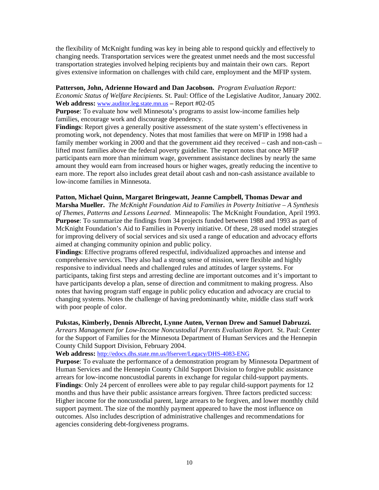the flexibility of McKnight funding was key in being able to respond quickly and effectively to changing needs. Transportation services were the greatest unmet needs and the most successful transportation strategies involved helping recipients buy and maintain their own cars. Report gives extensive information on challenges with child care, employment and the MFIP system.

### **Patterson, John, Adrienne Howard and Dan Jacobson.** *Program Evaluation Report:*

*Economic Status of Welfare Recipients.* St. Paul: Office of the Legislative Auditor, January 2002. **Web address:** www.auditor.leg.state.mn.us **–** Report #02-05

**Purpose**: To evaluate how well Minnesota's programs to assist low-income families help families, encourage work and discourage dependency.

**Findings**: Report gives a generally positive assessment of the state system's effectiveness in promoting work, not dependency. Notes that most families that were on MFIP in 1998 had a family member working in 2000 and that the government aid they received – cash and non-cash – lifted most families above the federal poverty guideline. The report notes that once MFIP participants earn more than minimum wage, government assistance declines by nearly the same amount they would earn from increased hours or higher wages, greatly reducing the incentive to earn more. The report also includes great detail about cash and non-cash assistance available to low-income families in Minnesota.

### **Patton, Michael Quinn, Margaret Bringewatt, Jeanne Campbell, Thomas Dewar and**

**Marsha Mueller.** *The McKnight Foundation Aid to Families in Poverty Initiative – A Synthesis of Themes, Patterns and Lessons Learned.* Minneapolis: The McKnight Foundation, April 1993. **Purpose**: To summarize the findings from 34 projects funded between 1988 and 1993 as part of McKnight Foundation's Aid to Families in Poverty initiative. Of these, 28 used model strategies for improving delivery of social services and six used a range of education and advocacy efforts aimed at changing community opinion and public policy.

**Findings**: Effective programs offered respectful, individualized approaches and intense and comprehensive services. They also had a strong sense of mission, were flexible and highly responsive to individual needs and challenged rules and attitudes of larger systems. For participants, taking first steps and arresting decline are important outcomes and it's important to have participants develop a plan, sense of direction and commitment to making progress. Also notes that having program staff engage in public policy education and advocacy are crucial to changing systems. Notes the challenge of having predominantly white, middle class staff work with poor people of color.

#### **Pukstas, Kimberly, Dennis Albrecht, Lynne Auten, Vernon Drew and Samuel Dabruzzi.**

*Arrears Management for Low-Income Noncustodial Parents Evaluation Report.* St. Paul: Center for the Support of Families for the Minnesota Department of Human Services and the Hennepin County Child Support Division, February 2004.

**Web address:** http://edocs.dhs.state.mn.us/lfserver/Legacy/DHS-4083-ENG

**Purpose**: To evaluate the performance of a demonstration program by Minnesota Department of Human Services and the Hennepin County Child Support Division to forgive public assistance arrears for low-income noncustodial parents in exchange for regular child-support payments. **Findings**: Only 24 percent of enrollees were able to pay regular child-support payments for 12 months and thus have their public assistance arrears forgiven. Three factors predicted success: Higher income for the noncustodial parent, large arrears to be forgiven, and lower monthly child support payment. The size of the monthly payment appeared to have the most influence on outcomes. Also includes description of administrative challenges and recommendations for agencies considering debt-forgiveness programs.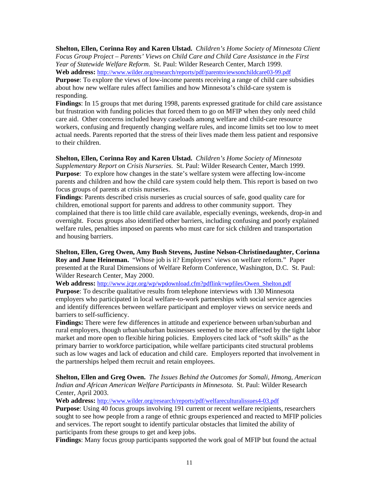**Shelton, Ellen, Corinna Roy and Karen Ulstad.** *Children's Home Society of Minnesota Client Focus Group Project – Parents' Views on Child Care and Child Care Assistance in the First Year of Statewide Welfare Reform.* St. Paul: Wilder Research Center, March 1999. **Web address:** http://www.wilder.org/research/reports/pdf/parentsviewsonchildcare03-99.pdf

**Purpose**: To explore the views of low-income parents receiving a range of child care subsidies about how new welfare rules affect families and how Minnesota's child-care system is responding.

**Findings**: In 15 groups that met during 1998, parents expressed gratitude for child care assistance but frustration with funding policies that forced them to go on MFIP when they only need child care aid. Other concerns included heavy caseloads among welfare and child-care resource workers, confusing and frequently changing welfare rules, and income limits set too low to meet actual needs. Parents reported that the stress of their lives made them less patient and responsive to their children.

**Shelton, Ellen, Corinna Roy and Karen Ulstad.** *Children's Home Society of Minnesota Supplementary Report on Crisis Nurseries.* St. Paul: Wilder Research Center, March 1999. **Purpose**: To explore how changes in the state's welfare system were affecting low-income parents and children and how the child care system could help them. This report is based on two focus groups of parents at crisis nurseries.

**Findings**: Parents described crisis nurseries as crucial sources of safe, good quality care for children, emotional support for parents and address to other community support. They complained that there is too little child care available, especially evenings, weekends, drop-in and overnight. Focus groups also identified other barriers, including confusing and poorly explained welfare rules, penalties imposed on parents who must care for sick children and transportation and housing barriers.

**Shelton, Ellen, Greg Owen, Amy Bush Stevens, Justine Nelson-Christinedaughter, Corinna Roy and June Heineman.** "Whose job is it? Employers' views on welfare reform." Paper presented at the Rural Dimensions of Welfare Reform Conference, Washington, D.C. St. Paul: Wilder Research Center, May 2000.

**Web address:** http://www.jcpr.org/wp/wpdownload.cfm?pdflink=wpfiles/Owen\_Shelton.pdf **Purpose**: To describe qualitative results from telephone interviews with 130 Minnesota employers who participated in local welfare-to-work partnerships with social service agencies and identify differences between welfare participant and employer views on service needs and

barriers to self-sufficiency.

**Findings:** There were few differences in attitude and experience between urban/suburban and rural employers, though urban/suburban businesses seemed to be more affected by the tight labor market and more open to flexible hiring policies. Employers cited lack of "soft skills" as the primary barrier to workforce participation, while welfare participants cited structural problems such as low wages and lack of education and child care. Employers reported that involvement in the partnerships helped them recruit and retain employees.

**Shelton, Ellen and Greg Owen.** *The Issues Behind the Outcomes for Somali, Hmong, American Indian and African American Welfare Participants in Minnesota*. St. Paul: Wilder Research Center, April 2003.

**Web address:** http://www.wilder.org/research/reports/pdf/welfareculturalissues4-03.pdf

**Purpose**: Using 40 focus groups involving 191 current or recent welfare recipients, researchers sought to see how people from a range of ethnic groups experienced and reacted to MFIP policies and services. The report sought to identify particular obstacles that limited the ability of participants from these groups to get and keep jobs.

**Findings**: Many focus group participants supported the work goal of MFIP but found the actual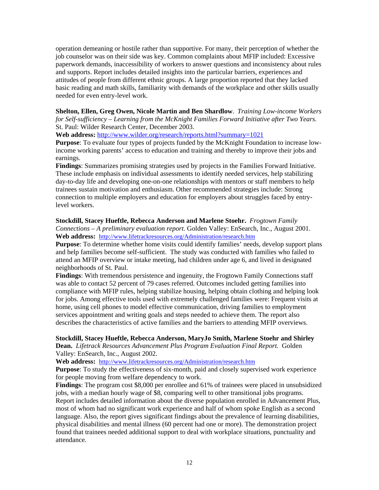operation demeaning or hostile rather than supportive. For many, their perception of whether the job counselor was on their side was key. Common complaints about MFIP included: Excessive paperwork demands, inaccessibility of workers to answer questions and inconsistency about rules and supports. Report includes detailed insights into the particular barriers, experiences and attitudes of people from different ethnic groups. A large proportion reported that they lacked basic reading and math skills, familiarity with demands of the workplace and other skills usually needed for even entry-level work.

**Shelton, Ellen, Greg Owen, Nicole Martin and Ben Shardlow**. *Training Low-income Workers for Self-sufficiency – Learning from the McKnight Families Forward Initiative after Two Years.* St. Paul: Wilder Research Center, December 2003.

**Web address:** http://www.wilder.org/research/reports.html?summary=1021

**Purpose**: To evaluate four types of projects funded by the McKnight Foundation to increase lowincome working parents' access to education and training and thereby to improve their jobs and earnings.

**Findings**: Summarizes promising strategies used by projects in the Families Forward Initiative. These include emphasis on individual assessments to identify needed services, help stabilizing day-to-day life and developing one-on-one relationships with mentors or staff members to help trainees sustain motivation and enthusiasm. Other recommended strategies include: Strong connection to multiple employers and education for employers about struggles faced by entrylevel workers.

**Stockdill, Stacey Hueftle, Rebecca Anderson and Marlene Stoehr.** *Frogtown Family Connections – A preliminary evaluation report.* Golden Valley: EnSearch, Inc., August 2001. **Web address:** http://www.lifetrackresources.org/Administration/research.htm

**Purpose**: To determine whether home visits could identify families' needs, develop support plans and help families become self-sufficient. The study was conducted with families who failed to attend an MFIP overview or intake meeting, had children under age 6, and lived in designated neighborhoods of St. Paul.

**Findings**: With tremendous persistence and ingenuity, the Frogtown Family Connections staff was able to contact 52 percent of 79 cases referred. Outcomes included getting families into compliance with MFIP rules, helping stabilize housing, helping obtain clothing and helping look for jobs. Among effective tools used with extremely challenged families were: Frequent visits at home, using cell phones to model effective communication, driving families to employment services appointment and writing goals and steps needed to achieve them. The report also describes the characteristics of active families and the barriers to attending MFIP overviews.

**Stockdill, Stacey Hueftle, Rebecca Anderson, MaryJo Smith, Marlene Stoehr and Shirley** 

**Dean.** *Lifetrack Resources Advancement Plus Program Evaluation Final Report.* Golden Valley: EnSearch, Inc., August 2002.

**Web address:** http://www.lifetrackresources.org/Administration/research.htm

**Purpose**: To study the effectiveness of six-month, paid and closely supervised work experience for people moving from welfare dependency to work.

**Findings**: The program cost \$8,000 per enrollee and 61% of trainees were placed in unsubsidized jobs, with a median hourly wage of \$8, comparing well to other transitional jobs programs. Report includes detailed information about the diverse population enrolled in Advancement Plus, most of whom had no significant work experience and half of whom spoke English as a second language. Also, the report gives significant findings about the prevalence of learning disabilities, physical disabilities and mental illness (60 percent had one or more). The demonstration project found that trainees needed additional support to deal with workplace situations, punctuality and attendance.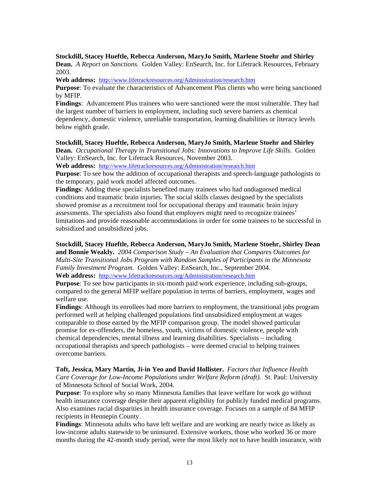## **Stockdill, Stacey Hueftle, Rebecca Anderson, MaryJo Smith, Marlene Stoehr and Shirley**

**Dean.** *A Report on Sanctions.* Golden Valley: EnSearch, Inc. for Lifetrack Resources, February 2003.

**Web address:** http://www.lifetrackresources.org/Administration/research.htm

**Purpose**: To evaluate the characteristics of Advancement Plus clients who were being sanctioned by MFIP.

**Findings**: Advancement Plus trainees who were sanctioned were the most vulnerable. They had the largest number of barriers to employment, including such severe barriers as chemical dependency, domestic violence, unreliable transportation, learning disabilities or literacy levels below eighth grade.

#### **Stockdill, Stacey Hueftle, Rebecca Anderson, MaryJo Smith, Marlene Stoehr and Shirley**

**Dean.** *Occupational Therapy in Transitional Jobs: Innovations to Improve Life Skills.* Golden Valley: EnSearch, Inc. for Lifetrack Resources, November 2003.

**Web address:** http://www.lifetrackresources.org/Administration/research.htm

**Purpose**: To see how the addition of occupational therapists and speech-language pathologists to the temporary, paid work model affected outcomes.

**Findings**: Adding these specialists benefited many trainees who had undiagnosed medical conditions and traumatic brain injuries. The social skills classes designed by the specialists showed promise as a recruitment tool for occupational therapy and traumatic brain injury assessments. The specialists also found that employers might need to recognize trainees' limitations and provide reasonable accommodations in order for some trainees to be successful in subsidized and unsubsidized jobs.

### **Stockdill, Stacey Hueftle, Rebecca Anderson, MaryJo Smith, Marlene Stoehr, Shirley Dean**

**and Bonnie Weakly.** *2004 Comparison Study – An Evaluation that Compares Outcomes for Multi-Site Transitional Jobs Program with Random Samples of Participants in the Minnesota Family Investment Program.* Golden Valley: EnSearch, Inc., September 2004.

**Web address:** http://www.lifetrackresources.org/Administration/research.htm

**Purpose**: To see how participants in six-month paid work experience, including sub-groups, compared to the general MFIP welfare population in terms of barriers, employment, wages and welfare use.

**Findings**: Although its enrollees had more barriers to employment, the transitional jobs program performed well at helping challenged populations find unsubsidized employment at wages comparable to those earned by the MFIP comparison group. The model showed particular promise for ex-offenders, the homeless, youth, victims of domestic violence, people with chemical dependencies, mental illness and learning disabilities. Specialists – including occupational therapists and speech pathologists – were deemed crucial to helping trainees overcome barriers.

**Toft, Jessica, Mary Martin, Ji-in Yeo and David Hollister.** *Factors that Influence Health Care Coverage for Low-Income Populations under Welfare Reform (draft).* St. Paul: University of Minnesota School of Social Work, 2004.

**Purpose**: To explore why so many Minnesota families that leave welfare for work go without health insurance coverage despite their apparent eligibility for publicly funded medical programs. Also examines racial disparities in health insurance coverage. Focuses on a sample of 84 MFIP recipients in Hennepin County.

**Findings**: Minnesota adults who have left welfare and are working are nearly twice as likely as low-income adults statewide to be uninsured. Extensive workers, those who worked 36 or more months during the 42-month study period, were the most likely not to have health insurance, with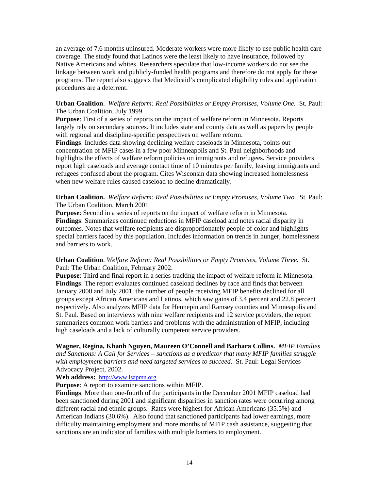an average of 7.6 months uninsured. Moderate workers were more likely to use public health care coverage. The study found that Latinos were the least likely to have insurance, followed by Native Americans and whites. Researchers speculate that low-income workers do not see the linkage between work and publicly-funded health programs and therefore do not apply for these programs. The report also suggests that Medicaid's complicated eligibility rules and application procedures are a deterrent.

### **Urban Coalition**. *Welfare Reform: Real Possibilities or Empty Promises, Volume One.* St. Paul: The Urban Coalition, July 1999.

**Purpose**: First of a series of reports on the impact of welfare reform in Minnesota. Reports largely rely on secondary sources. It includes state and county data as well as papers by people with regional and discipline-specific perspectives on welfare reform.

**Findings**: Includes data showing declining welfare caseloads in Minnesota, points out concentration of MFIP cases in a few poor Minneapolis and St. Paul neighborhoods and highlights the effects of welfare reform policies on immigrants and refugees. Service providers report high caseloads and average contact time of 10 minutes per family, leaving immigrants and refugees confused about the program. Cites Wisconsin data showing increased homelessness when new welfare rules caused caseload to decline dramatically.

### **Urban Coalition.** *Welfare Reform: Real Possibilities or Empty Promises, Volume Two.* St. Paul: The Urban Coalition, March 2001

**Purpose**: Second in a series of reports on the impact of welfare reform in Minnesota. **Findings**: Summarizes continued reductions in MFIP caseload and notes racial disparity in outcomes. Notes that welfare recipients are disproportionately people of color and highlights special barriers faced by this population. Includes information on trends in hunger, homelessness and barriers to work.

### **Urban Coalition**. *Welfare Reform: Real Possibilities or Empty Promises, Volume Three.* St. Paul: The Urban Coalition, February 2002.

**Purpose**: Third and final report in a series tracking the impact of welfare reform in Minnesota. **Findings**: The report evaluates continued caseload declines by race and finds that between January 2000 and July 2001, the number of people receiving MFIP benefits declined for all groups except African Americans and Latinos, which saw gains of 3.4 percent and 22.8 percent respectively. Also analyzes MFIP data for Hennepin and Ramsey counties and Minneapolis and St. Paul. Based on interviews with nine welfare recipients and 12 service providers, the report summarizes common work barriers and problems with the administration of MFIP, including high caseloads and a lack of culturally competent service providers.

**Wagner, Regina, Khanh Nguyen, Maureen O'Connell and Barbara Collins.** *MFIP Families and Sanctions: A Call for Services – sanctions as a predictor that many MFIP families struggle with employment barriers and need targeted services to succeed.* St. Paul: Legal Services Advocacy Project, 2002.

### **Web address:** http://www.lsapmn.org

**Purpose**: A report to examine sanctions within MFIP.

**Findings**: More than one-fourth of the participants in the December 2001 MFIP caseload had been sanctioned during 2001 and significant disparities in sanction rates were occurring among different racial and ethnic groups. Rates were highest for African Americans (35.5%) and American Indians (30.6%). Also found that sanctioned participants had lower earnings, more difficulty maintaining employment and more months of MFIP cash assistance, suggesting that sanctions are an indicator of families with multiple barriers to employment.